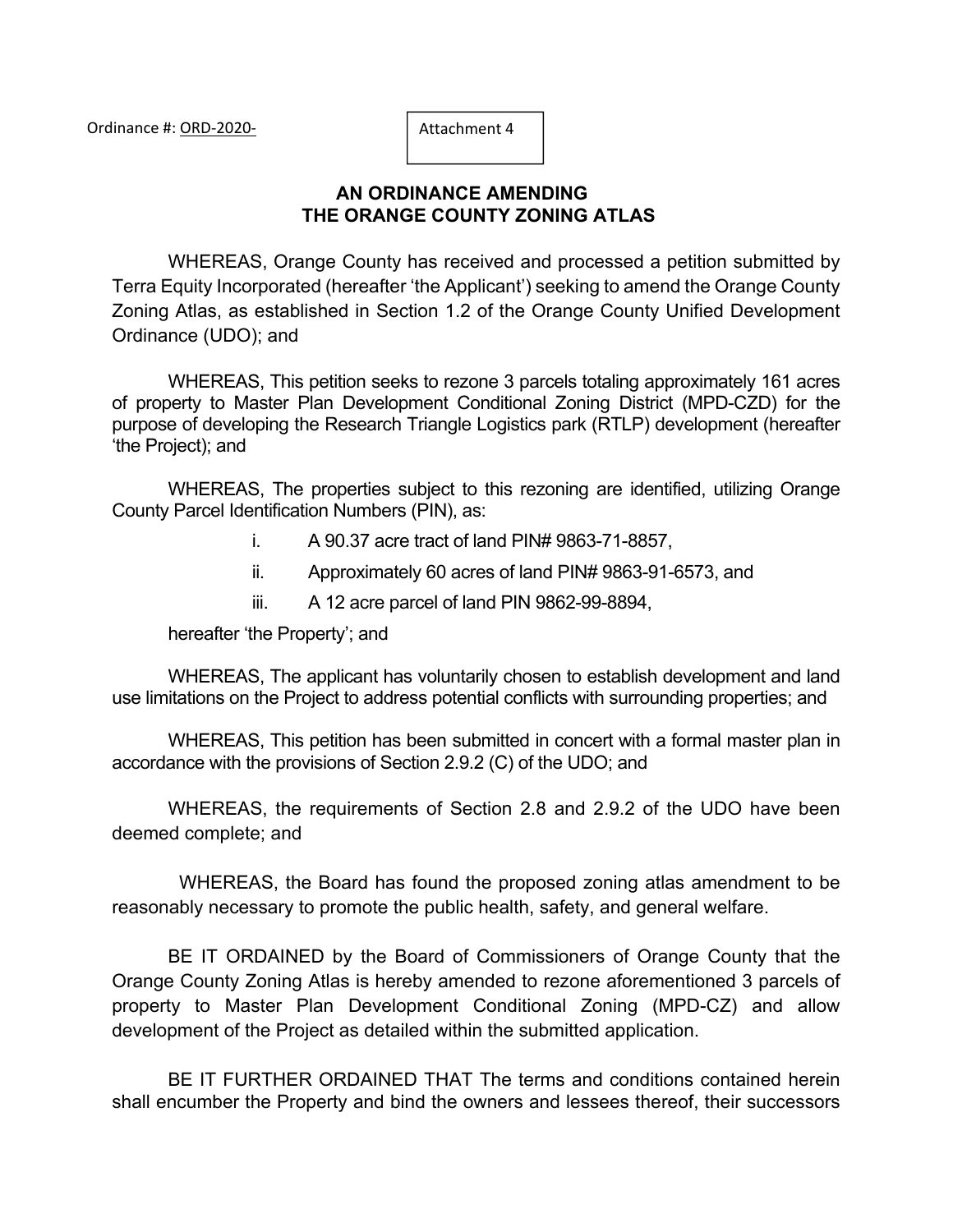# **AN ORDINANCE AMENDING THE ORANGE COUNTY ZONING ATLAS**

WHEREAS, Orange County has received and processed a petition submitted by Terra Equity Incorporated (hereafter 'the Applicant') seeking to amend the Orange County Zoning Atlas, as established in Section 1.2 of the Orange County Unified Development Ordinance (UDO); and

WHEREAS, This petition seeks to rezone 3 parcels totaling approximately 161 acres of property to Master Plan Development Conditional Zoning District (MPD-CZD) for the purpose of developing the Research Triangle Logistics park (RTLP) development (hereafter 'the Project); and

WHEREAS, The properties subject to this rezoning are identified, utilizing Orange County Parcel Identification Numbers (PIN), as:

- i. A 90.37 acre tract of land PIN# 9863-71-8857,
- ii. Approximately 60 acres of land PIN# 9863-91-6573, and
- iii. A 12 acre parcel of land PIN 9862-99-8894,

hereafter 'the Property'; and

WHEREAS, The applicant has voluntarily chosen to establish development and land use limitations on the Project to address potential conflicts with surrounding properties; and

WHEREAS, This petition has been submitted in concert with a formal master plan in accordance with the provisions of Section 2.9.2 (C) of the UDO; and

WHEREAS, the requirements of Section 2.8 and 2.9.2 of the UDO have been deemed complete; and

WHEREAS, the Board has found the proposed zoning atlas amendment to be reasonably necessary to promote the public health, safety, and general welfare.

BE IT ORDAINED by the Board of Commissioners of Orange County that the Orange County Zoning Atlas is hereby amended to rezone aforementioned 3 parcels of property to Master Plan Development Conditional Zoning (MPD-CZ) and allow development of the Project as detailed within the submitted application.

BE IT FURTHER ORDAINED THAT The terms and conditions contained herein shall encumber the Property and bind the owners and lessees thereof, their successors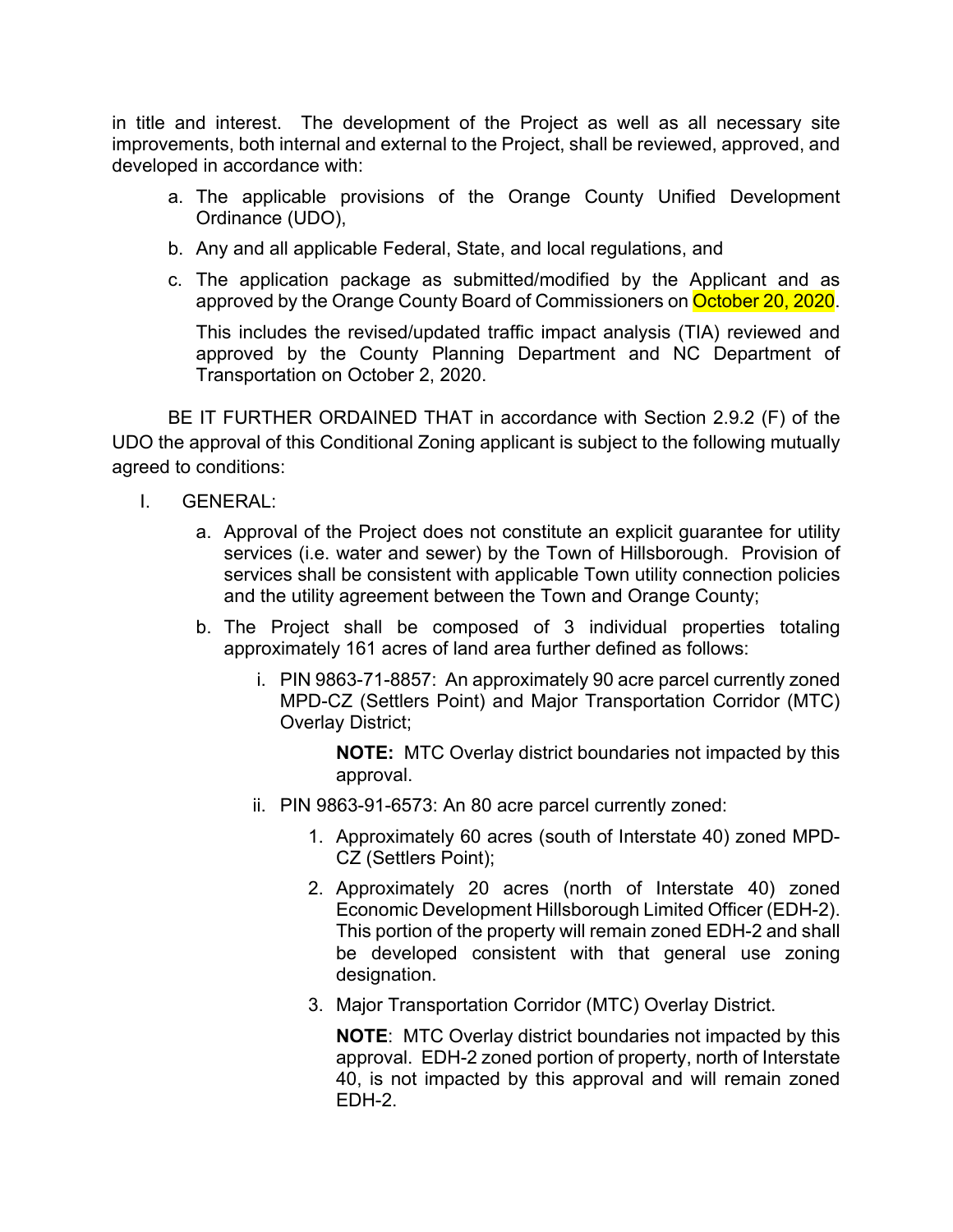in title and interest. The development of the Project as well as all necessary site improvements, both internal and external to the Project, shall be reviewed, approved, and developed in accordance with:

- a. The applicable provisions of the Orange County Unified Development Ordinance (UDO),
- b. Any and all applicable Federal, State, and local regulations, and
- c. The application package as submitted/modified by the Applicant and as approved by the Orange County Board of Commissioners on October 20, 2020.

This includes the revised/updated traffic impact analysis (TIA) reviewed and approved by the County Planning Department and NC Department of Transportation on October 2, 2020.

BE IT FURTHER ORDAINED THAT in accordance with Section 2.9.2 (F) of the UDO the approval of this Conditional Zoning applicant is subject to the following mutually agreed to conditions:

- I. GENERAL:
	- a. Approval of the Project does not constitute an explicit guarantee for utility services (i.e. water and sewer) by the Town of Hillsborough. Provision of services shall be consistent with applicable Town utility connection policies and the utility agreement between the Town and Orange County;
	- b. The Project shall be composed of 3 individual properties totaling approximately 161 acres of land area further defined as follows:
		- i. PIN 9863-71-8857: An approximately 90 acre parcel currently zoned MPD-CZ (Settlers Point) and Major Transportation Corridor (MTC) Overlay District;

**NOTE:** MTC Overlay district boundaries not impacted by this approval.

- ii. PIN 9863-91-6573: An 80 acre parcel currently zoned:
	- 1. Approximately 60 acres (south of Interstate 40) zoned MPD-CZ (Settlers Point);
	- 2. Approximately 20 acres (north of Interstate 40) zoned Economic Development Hillsborough Limited Officer (EDH-2). This portion of the property will remain zoned EDH-2 and shall be developed consistent with that general use zoning designation.
	- 3. Major Transportation Corridor (MTC) Overlay District.

**NOTE**: MTC Overlay district boundaries not impacted by this approval. EDH-2 zoned portion of property, north of Interstate 40, is not impacted by this approval and will remain zoned EDH-2.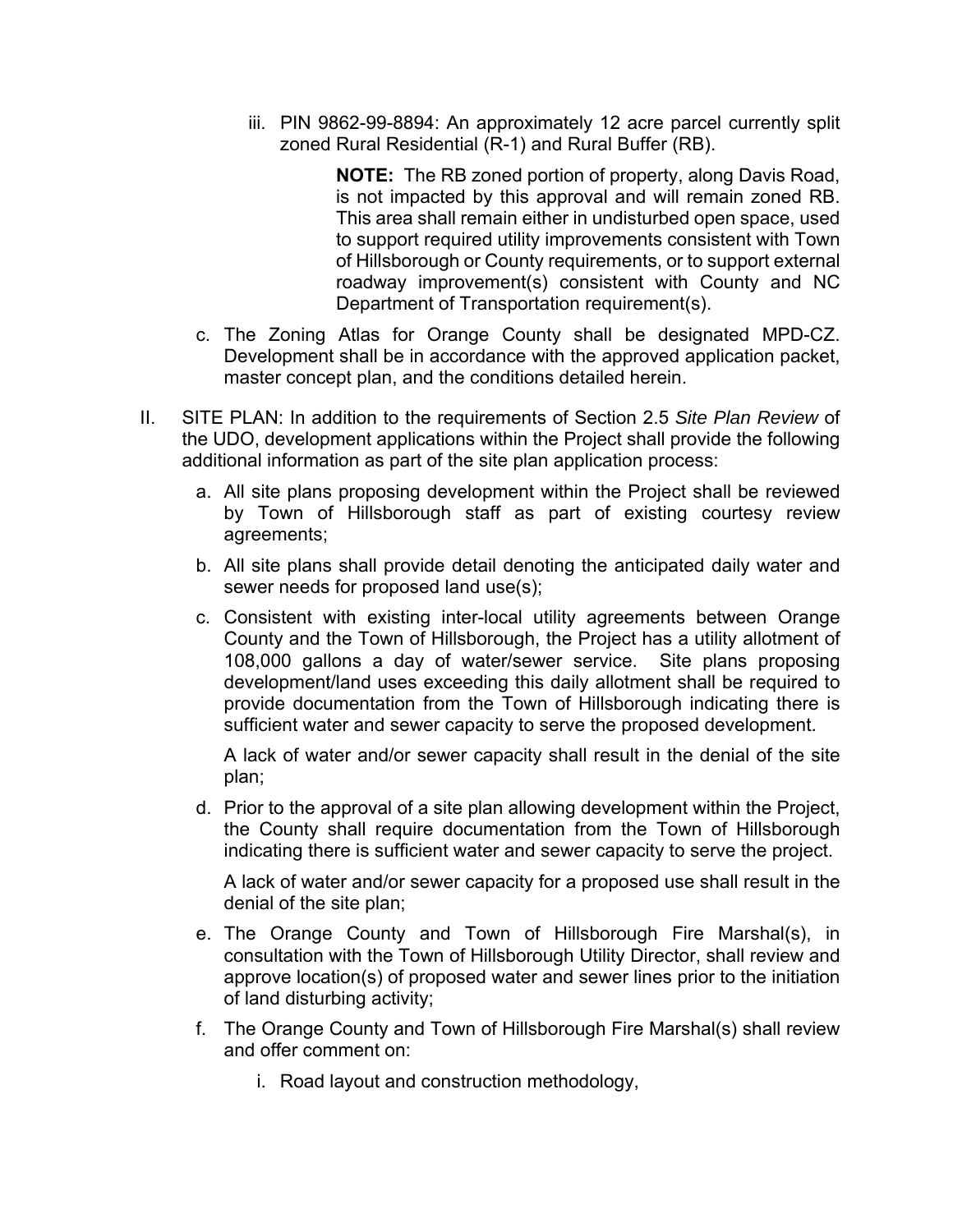iii. PIN 9862-99-8894: An approximately 12 acre parcel currently split zoned Rural Residential (R-1) and Rural Buffer (RB).

> **NOTE:** The RB zoned portion of property, along Davis Road, is not impacted by this approval and will remain zoned RB. This area shall remain either in undisturbed open space, used to support required utility improvements consistent with Town of Hillsborough or County requirements, or to support external roadway improvement(s) consistent with County and NC Department of Transportation requirement(s).

- c. The Zoning Atlas for Orange County shall be designated MPD-CZ. Development shall be in accordance with the approved application packet, master concept plan, and the conditions detailed herein.
- II. SITE PLAN: In addition to the requirements of Section 2.5 *Site Plan Review* of the UDO, development applications within the Project shall provide the following additional information as part of the site plan application process:
	- a. All site plans proposing development within the Project shall be reviewed by Town of Hillsborough staff as part of existing courtesy review agreements;
	- b. All site plans shall provide detail denoting the anticipated daily water and sewer needs for proposed land use(s);
	- c. Consistent with existing inter-local utility agreements between Orange County and the Town of Hillsborough, the Project has a utility allotment of 108,000 gallons a day of water/sewer service. Site plans proposing development/land uses exceeding this daily allotment shall be required to provide documentation from the Town of Hillsborough indicating there is sufficient water and sewer capacity to serve the proposed development.

A lack of water and/or sewer capacity shall result in the denial of the site plan;

d. Prior to the approval of a site plan allowing development within the Project, the County shall require documentation from the Town of Hillsborough indicating there is sufficient water and sewer capacity to serve the project.

A lack of water and/or sewer capacity for a proposed use shall result in the denial of the site plan;

- e. The Orange County and Town of Hillsborough Fire Marshal(s), in consultation with the Town of Hillsborough Utility Director, shall review and approve location(s) of proposed water and sewer lines prior to the initiation of land disturbing activity;
- f. The Orange County and Town of Hillsborough Fire Marshal(s) shall review and offer comment on:
	- i. Road layout and construction methodology,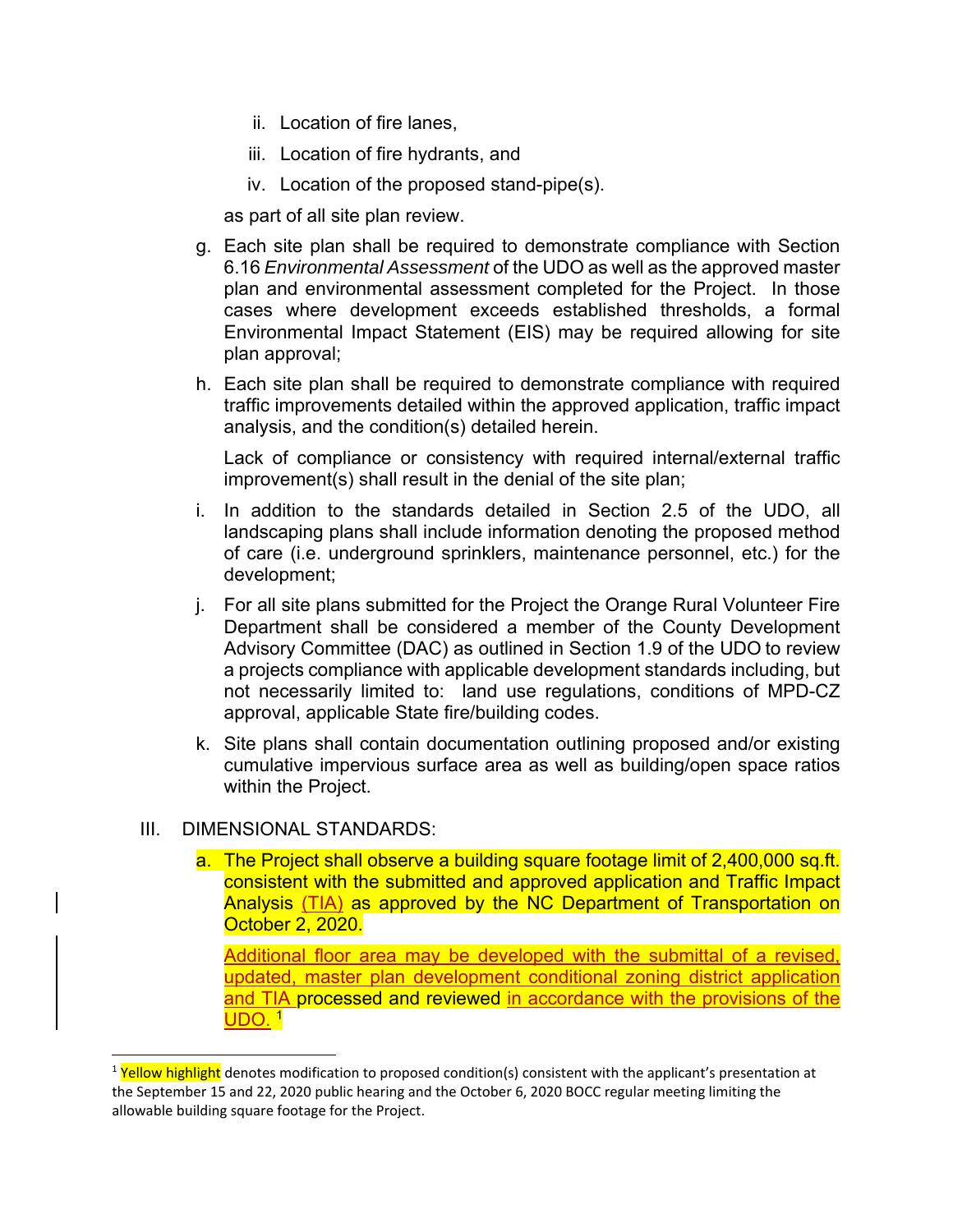- ii. Location of fire lanes,
- iii. Location of fire hydrants, and
- iv. Location of the proposed stand-pipe(s).

as part of all site plan review.

- g. Each site plan shall be required to demonstrate compliance with Section 6.16 *Environmental Assessment* of the UDO as well as the approved master plan and environmental assessment completed for the Project. In those cases where development exceeds established thresholds, a formal Environmental Impact Statement (EIS) may be required allowing for site plan approval;
- h. Each site plan shall be required to demonstrate compliance with required traffic improvements detailed within the approved application, traffic impact analysis, and the condition(s) detailed herein.

Lack of compliance or consistency with required internal/external traffic improvement(s) shall result in the denial of the site plan;

- i. In addition to the standards detailed in Section 2.5 of the UDO, all landscaping plans shall include information denoting the proposed method of care (i.e. underground sprinklers, maintenance personnel, etc.) for the development;
- j. For all site plans submitted for the Project the Orange Rural Volunteer Fire Department shall be considered a member of the County Development Advisory Committee (DAC) as outlined in Section 1.9 of the UDO to review a projects compliance with applicable development standards including, but not necessarily limited to: land use regulations, conditions of MPD-CZ approval, applicable State fire/building codes.
- k. Site plans shall contain documentation outlining proposed and/or existing cumulative impervious surface area as well as building/open space ratios within the Project.

#### III. DIMENSIONAL STANDARDS:

a. The Project shall observe a building square footage limit of 2,400,000 sq.ft. consistent with the submitted and approved application and Traffic Impact Analysis (TIA) as approved by the NC Department of Transportation on October 2, 2020.

Additional floor area may be developed with the submittal of a revised, updated, master plan development conditional zoning district application and TIA processed and reviewed in accordance with the provisions of the UDO. <sup>1</sup>

<sup>&</sup>lt;sup>1</sup> Yellow highlight denotes modification to proposed condition(s) consistent with the applicant's presentation at the September 15 and 22, 2020 public hearing and the October 6, 2020 BOCC regular meeting limiting the allowable building square footage for the Project.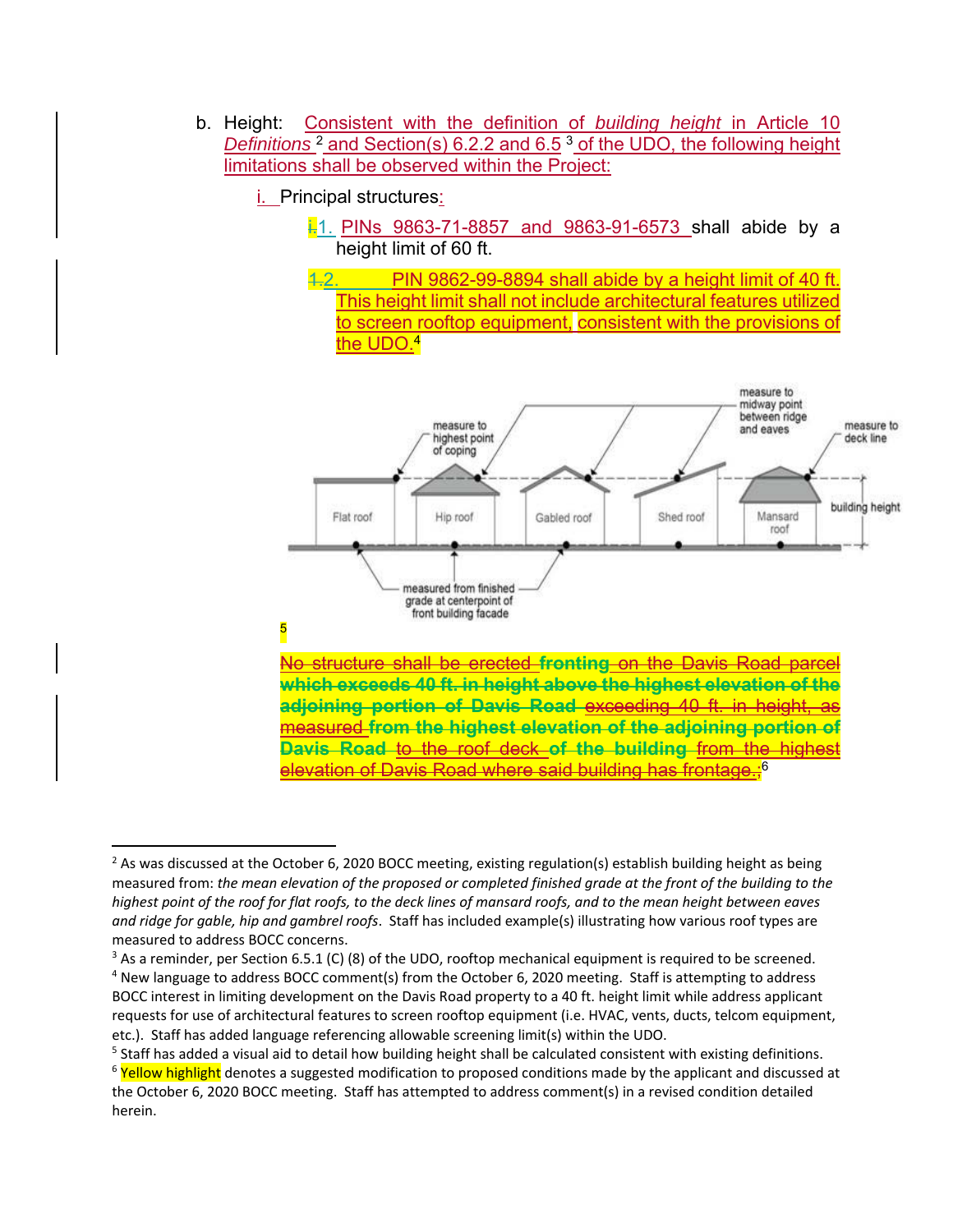b. Height: Consistent with the definition of *building height* in Article 10 *Definitions* 2 and Section(s) 6.2.2 and 6.5 3 of the UDO, the following height limitations shall be observed within the Project:

i. Principal structures:

- $\frac{1}{2}$ 1. PINs 9863-71-8857 and 9863-91-6573 shall abide by a height limit of 60 ft.
- 1.2. PIN 9862-99-8894 shall abide by a height limit of 40 ft. This height limit shall not include architectural features utilized to screen rooftop equipment, consistent with the provisions of the UDO.<sup>4</sup>



### 5

No structure shall be erected **fronting** on the Davis Road parcel **which exceeds 40 ft. in height above the highest elevation of the adjoining portion of Davis Road exceeding 40 ft. in height,** measured **from the highest elevation of the adjoining portion of Davis Road** to the roof deck **of the building** from the highest elevation of Davis Road where said building has frontage.:<sup>6</sup>

<sup>&</sup>lt;sup>2</sup> As was discussed at the October 6, 2020 BOCC meeting, existing regulation(s) establish building height as being measured from: *the mean elevation of the proposed or completed finished grade at the front of the building to the highest point of the roof for flat roofs, to the deck lines of mansard roofs, and to the mean height between eaves and ridge for gable, hip and gambrel roofs*. Staff has included example(s) illustrating how various roof types are measured to address BOCC concerns.

<sup>&</sup>lt;sup>3</sup> As a reminder, per Section 6.5.1 (C) (8) of the UDO, rooftop mechanical equipment is required to be screened. <sup>4</sup> New language to address BOCC comment(s) from the October 6, 2020 meeting. Staff is attempting to address BOCC interest in limiting development on the Davis Road property to a 40 ft. height limit while address applicant requests for use of architectural features to screen rooftop equipment (i.e. HVAC, vents, ducts, telcom equipment, etc.). Staff has added language referencing allowable screening limit(s) within the UDO.

<sup>&</sup>lt;sup>5</sup> Staff has added a visual aid to detail how building height shall be calculated consistent with existing definitions.

<sup>&</sup>lt;sup>6</sup> Yellow highlight denotes a suggested modification to proposed conditions made by the applicant and discussed at the October 6, 2020 BOCC meeting. Staff has attempted to address comment(s) in a revised condition detailed herein.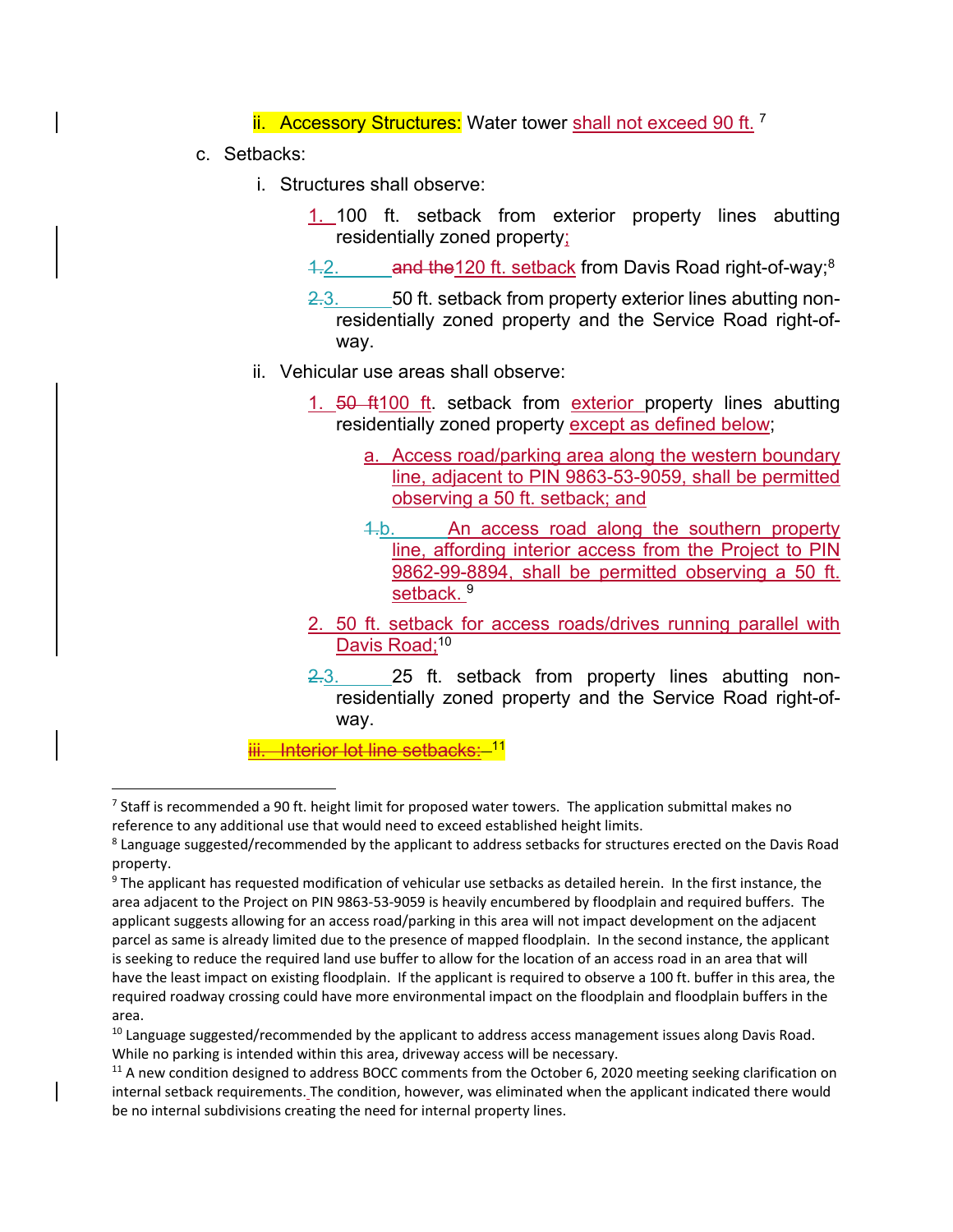ii. Accessory Structures: Water tower shall not exceed 90 ft.<sup>7</sup>

c. Setbacks:

- i. Structures shall observe:
	- 1. 100 ft. setback from exterior property lines abutting residentially zoned property;
	- 4.2. and the 120 ft. setback from Davis Road right-of-way;  $8<sup>8</sup>$
	- 2.3. 50 ft. setback from property exterior lines abutting nonresidentially zoned property and the Service Road right-ofway.
- ii. Vehicular use areas shall observe:
	- 1. 50 ft100 ft. setback from exterior property lines abutting residentially zoned property except as defined below;
		- a. Access road/parking area along the western boundary line, adjacent to PIN 9863-53-9059, shall be permitted observing a 50 ft. setback; and
		- 1.b. An access road along the southern property line, affording interior access from the Project to PIN 9862-99-8894, shall be permitted observing a 50 ft. setback.<sup>9</sup>
	- 2. 50 ft. setback for access roads/drives running parallel with Davis Road:<sup>10</sup>
	- 2.3. 25 ft. setback from property lines abutting nonresidentially zoned property and the Service Road right-ofway.

iii. Interior lot line setbacks: <sup>11</sup>

 $7$  Staff is recommended a 90 ft. height limit for proposed water towers. The application submittal makes no reference to any additional use that would need to exceed established height limits.

<sup>&</sup>lt;sup>8</sup> Language suggested/recommended by the applicant to address setbacks for structures erected on the Davis Road property.

<sup>&</sup>lt;sup>9</sup> The applicant has requested modification of vehicular use setbacks as detailed herein. In the first instance, the area adjacent to the Project on PIN 9863‐53‐9059 is heavily encumbered by floodplain and required buffers. The applicant suggests allowing for an access road/parking in this area will not impact development on the adjacent parcel as same is already limited due to the presence of mapped floodplain. In the second instance, the applicant is seeking to reduce the required land use buffer to allow for the location of an access road in an area that will have the least impact on existing floodplain. If the applicant is required to observe a 100 ft. buffer in this area, the required roadway crossing could have more environmental impact on the floodplain and floodplain buffers in the area.

 $10$  Language suggested/recommended by the applicant to address access management issues along Davis Road. While no parking is intended within this area, driveway access will be necessary.

 $11$  A new condition designed to address BOCC comments from the October 6, 2020 meeting seeking clarification on internal setback requirements. The condition, however, was eliminated when the applicant indicated there would be no internal subdivisions creating the need for internal property lines.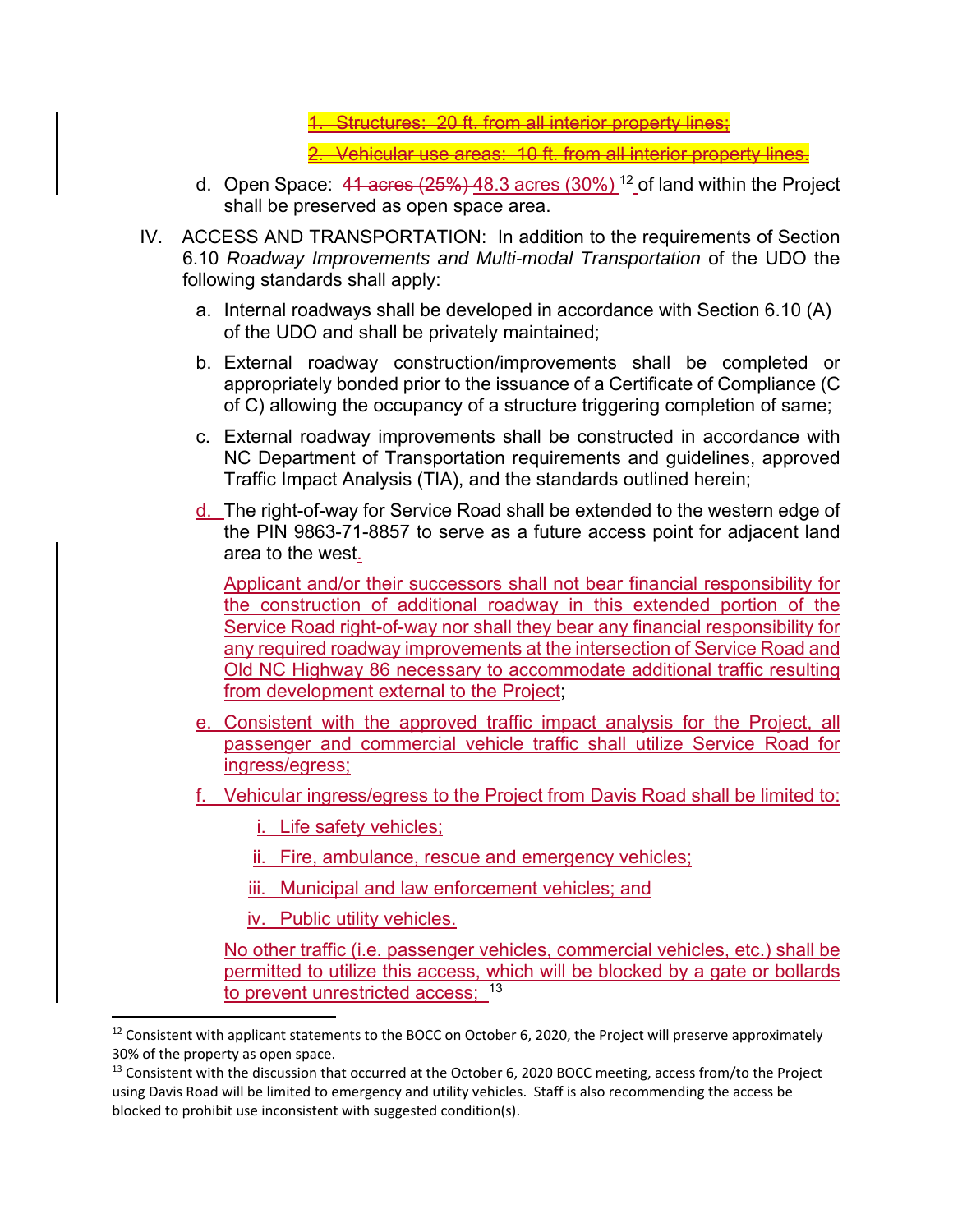<u>. Structures: 20 ft. from all interior property lines;</u>

2. Vehicular use areas: 10 ft. from all interior property lines.

- d. Open Space:  $41$  acres  $(25%)$   $48.3$  acres  $(30%)$ <sup>12</sup> of land within the Project shall be preserved as open space area.
- IV. ACCESS AND TRANSPORTATION: In addition to the requirements of Section 6.10 *Roadway Improvements and Multi-modal Transportation* of the UDO the following standards shall apply:
	- a. Internal roadways shall be developed in accordance with Section 6.10 (A) of the UDO and shall be privately maintained;
	- b. External roadway construction/improvements shall be completed or appropriately bonded prior to the issuance of a Certificate of Compliance (C of C) allowing the occupancy of a structure triggering completion of same;
	- c. External roadway improvements shall be constructed in accordance with NC Department of Transportation requirements and guidelines, approved Traffic Impact Analysis (TIA), and the standards outlined herein;
	- d. The right-of-way for Service Road shall be extended to the western edge of the PIN 9863-71-8857 to serve as a future access point for adjacent land area to the west.

Applicant and/or their successors shall not bear financial responsibility for the construction of additional roadway in this extended portion of the Service Road right-of-way nor shall they bear any financial responsibility for any required roadway improvements at the intersection of Service Road and Old NC Highway 86 necessary to accommodate additional traffic resulting from development external to the Project:

- e. Consistent with the approved traffic impact analysis for the Project, all passenger and commercial vehicle traffic shall utilize Service Road for ingress/egress;
- f. Vehicular ingress/egress to the Project from Davis Road shall be limited to:
	- i. Life safety vehicles;
	- ii. Fire, ambulance, rescue and emergency vehicles;
	- iii. Municipal and law enforcement vehicles; and
	- iv. Public utility vehicles.

No other traffic (i.e. passenger vehicles, commercial vehicles, etc.) shall be permitted to utilize this access, which will be blocked by a gate or bollards to prevent unrestricted access; 13

<sup>&</sup>lt;sup>12</sup> Consistent with applicant statements to the BOCC on October 6, 2020, the Project will preserve approximately 30% of the property as open space.

<sup>&</sup>lt;sup>13</sup> Consistent with the discussion that occurred at the October 6, 2020 BOCC meeting, access from/to the Project using Davis Road will be limited to emergency and utility vehicles. Staff is also recommending the access be blocked to prohibit use inconsistent with suggested condition(s).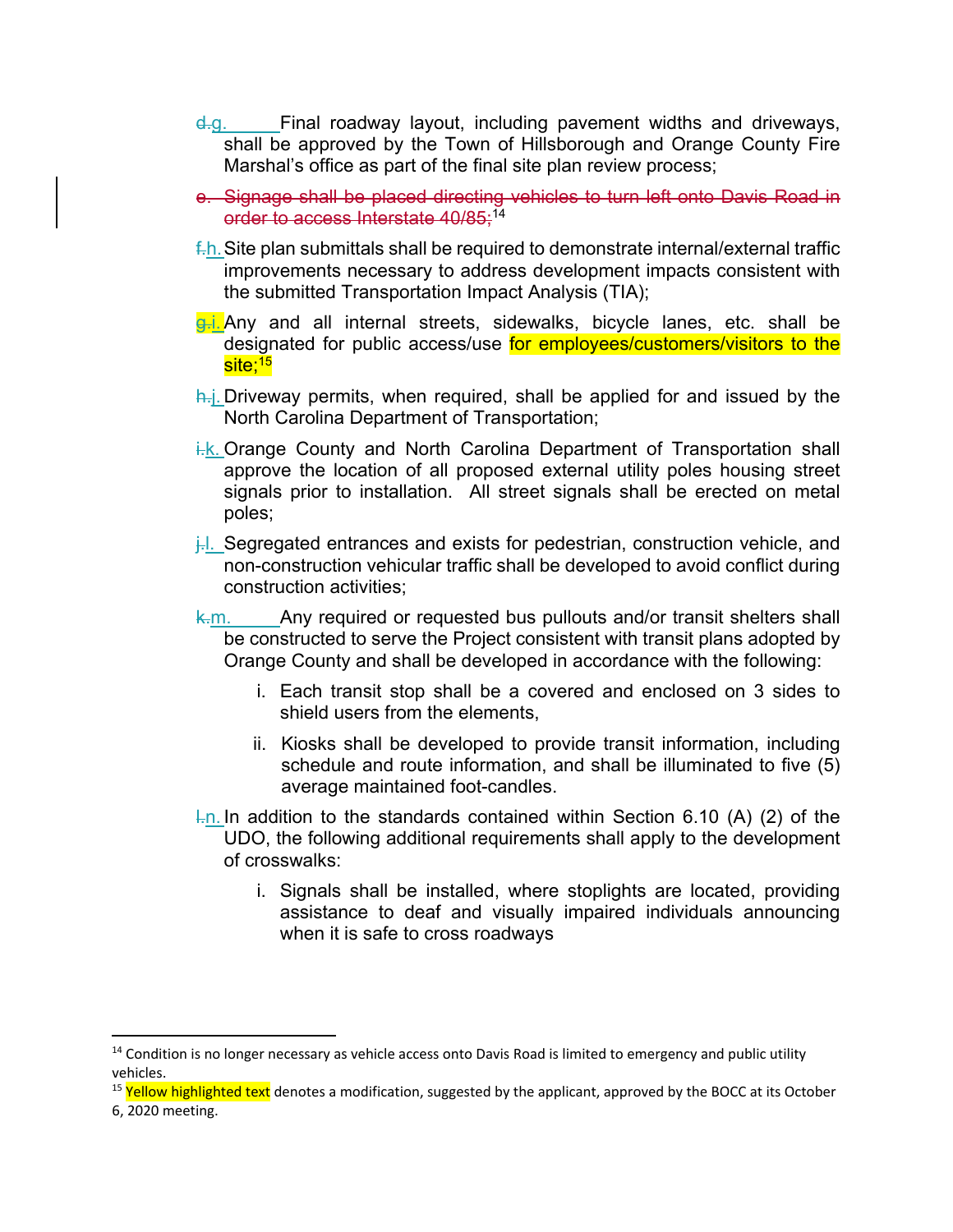- d.g. Final roadway layout, including pavement widths and driveways, shall be approved by the Town of Hillsborough and Orange County Fire Marshal's office as part of the final site plan review process;
- e. Signage shall be placed directing vehicles to turn left onto Davis Road in order to access Interstate 40/85;<sup>14</sup>
- $f\text{-}h$ . Site plan submittals shall be required to demonstrate internal/external traffic improvements necessary to address development impacts consistent with the submitted Transportation Impact Analysis (TIA);
- **g.i.** Any and all internal streets, sidewalks, bicycle lanes, etc. shall be designated for public access/use for employees/customers/visitors to the site:<sup>15</sup>
- h.j. Driveway permits, when required, shall be applied for and issued by the North Carolina Department of Transportation;
- i.k. Orange County and North Carolina Department of Transportation shall approve the location of all proposed external utility poles housing street signals prior to installation. All street signals shall be erected on metal poles;
- j. Segregated entrances and exists for pedestrian, construction vehicle, and non-construction vehicular traffic shall be developed to avoid conflict during construction activities;
- k.m. Any required or requested bus pullouts and/or transit shelters shall be constructed to serve the Project consistent with transit plans adopted by Orange County and shall be developed in accordance with the following:
	- i. Each transit stop shall be a covered and enclosed on 3 sides to shield users from the elements,
	- ii. Kiosks shall be developed to provide transit information, including schedule and route information, and shall be illuminated to five (5) average maintained foot-candles.
- $\frac{1}{2}$ . In addition to the standards contained within Section 6.10 (A) (2) of the UDO, the following additional requirements shall apply to the development of crosswalks:
	- i. Signals shall be installed, where stoplights are located, providing assistance to deaf and visually impaired individuals announcing when it is safe to cross roadways

 $14$  Condition is no longer necessary as vehicle access onto Davis Road is limited to emergency and public utility vehicles.

<sup>&</sup>lt;sup>15</sup> Yellow highlighted text denotes a modification, suggested by the applicant, approved by the BOCC at its October 6, 2020 meeting.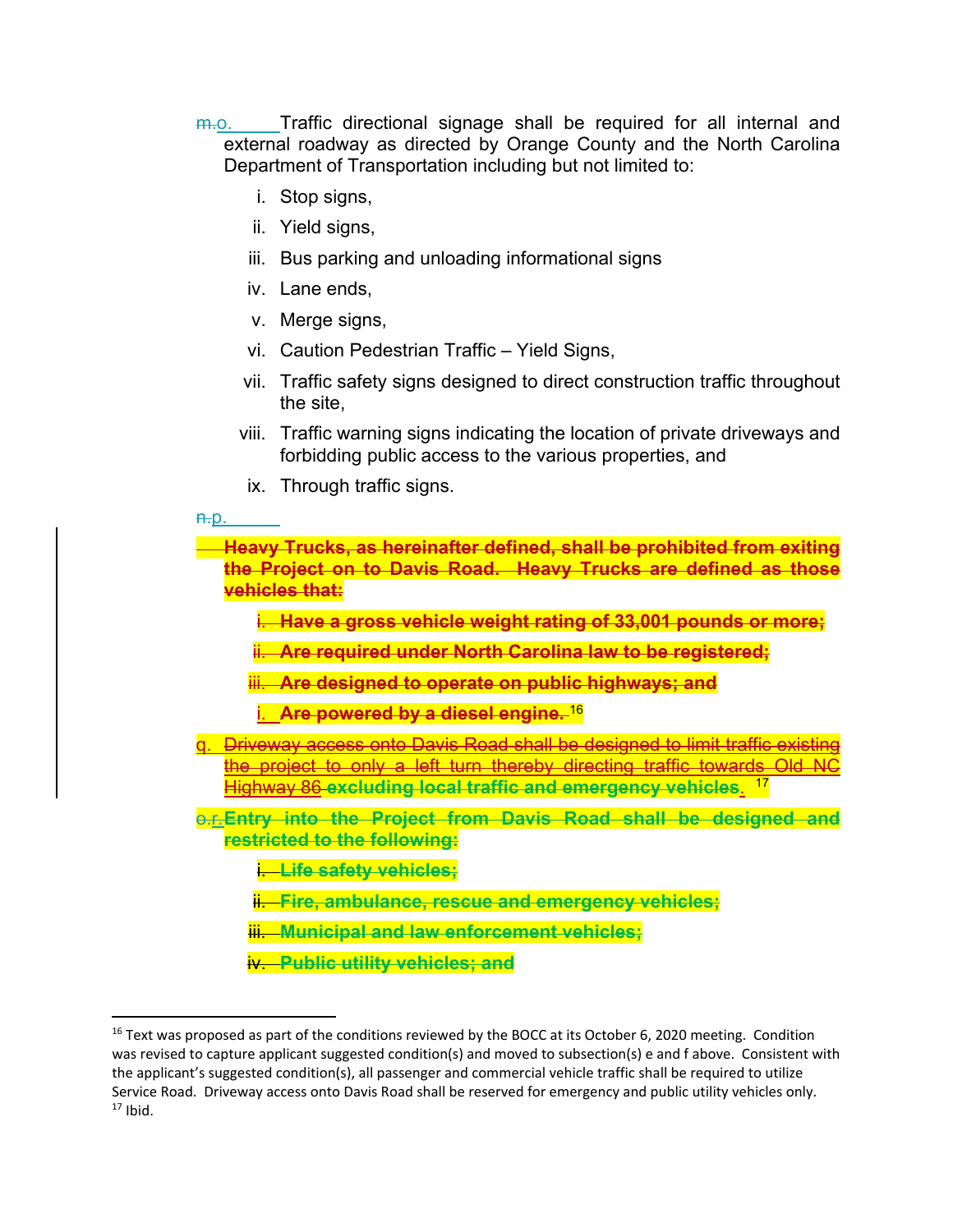- $m_{\rm e}$ . Traffic directional signage shall be required for all internal and external roadway as directed by Orange County and the North Carolina Department of Transportation including but not limited to:
	- i. Stop signs,
	- ii. Yield signs,
	- iii. Bus parking and unloading informational signs
	- iv. Lane ends,
	- v. Merge signs,
	- vi. Caution Pedestrian Traffic Yield Signs,
	- vii. Traffic safety signs designed to direct construction traffic throughout the site,
	- viii. Traffic warning signs indicating the location of private driveways and forbidding public access to the various properties, and
	- ix. Through traffic signs.
- $H<sub>0</sub>$

**Heavy Trucks, as hereinafter defined, shall be prohibited from exiting the Project on to Davis Road. Heavy Trucks are defined as those vehicles that:**

i. **Have a gross vehicle weight rating of 33,001 pounds or more;**

ii. **Are required under North Carolina law to be registered;**

- iii. **Are designed to operate on public highways; and**
- i. **Are powered by a diesel engine.** <sup>16</sup>
- q. Driveway access onto Davis Road shall be designed to limit traffic existing the project to only a left turn thereby directing traffic towards Old NC Highway 86 **excluding local traffic and emergency vehicles**. 17
- o.r. **Entry into the Project from Davis Road shall be designed and restricted to the following:**
	- i. **Life safety vehicles;**
	- ii. **Fire, ambulance, rescue and emergency vehicles;**
	- iii. **Municipal and law enforcement vehicles;**
	- iv. **Public utility vehicles; and**

 $16$  Text was proposed as part of the conditions reviewed by the BOCC at its October 6, 2020 meeting. Condition was revised to capture applicant suggested condition(s) and moved to subsection(s) e and f above. Consistent with the applicant's suggested condition(s), all passenger and commercial vehicle traffic shall be required to utilize Service Road. Driveway access onto Davis Road shall be reserved for emergency and public utility vehicles only.  $17$  Ibid.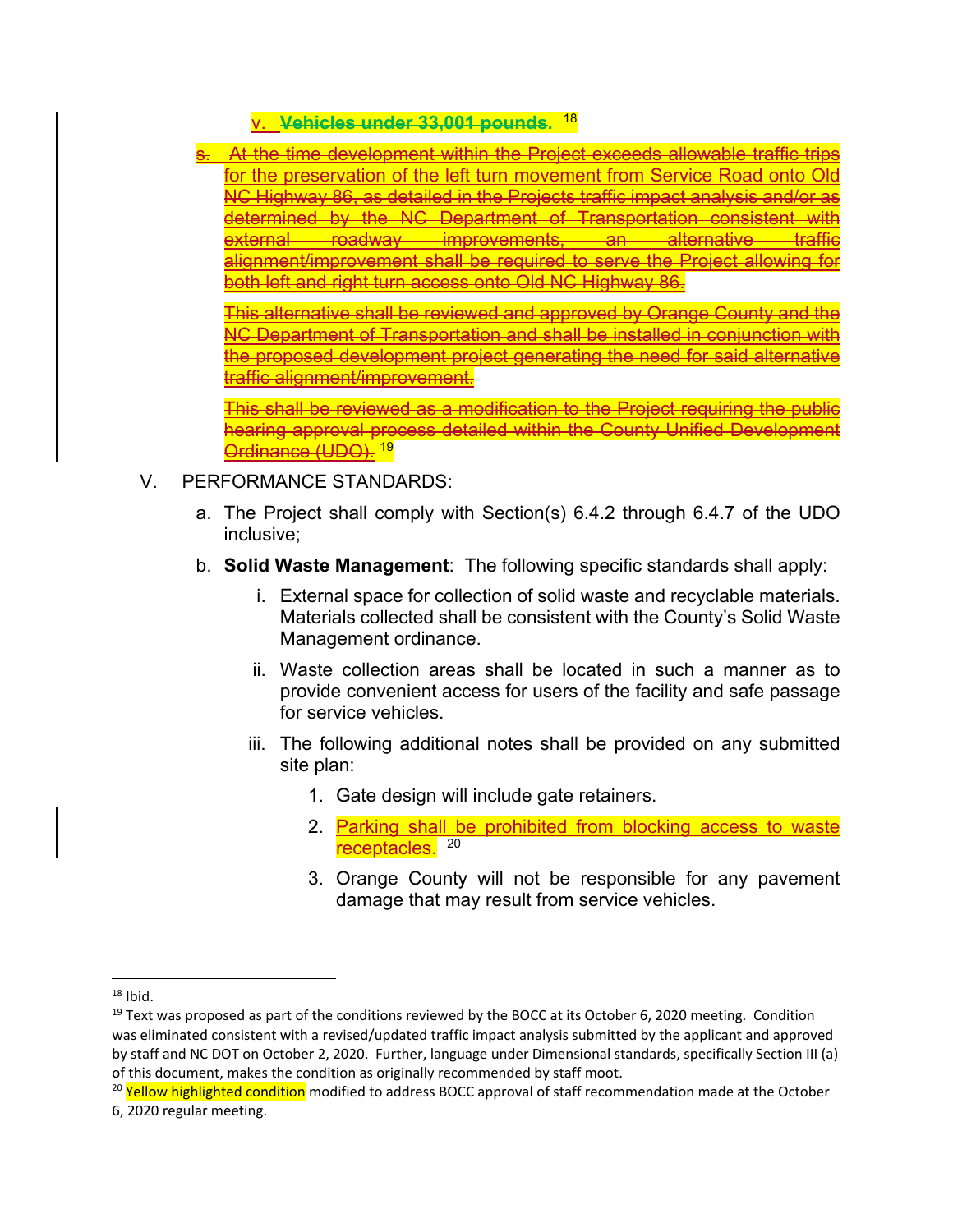v. **Vehicles under 33,001 pounds.** <sup>18</sup>

s. At the time development within the Project exceeds allowable traffic trips for the preservation of the left turn movement from Service Road onto Old NC Highway 86, as detailed in the Projects traffic impact analysis and/or as determined by the NC Department of Transportation consistent with external roadway improvements, an alternative traffic alignment/improvement shall be required to serve the Project allowing for both left and right turn access onto Old NC Highway 86.

This alternative shall be reviewed and approved by Orange County and the NC Department of Transportation and shall be installed in conjunction with the proposed development project generating the need for said alternative traffic alignment/improvement.

This shall be reviewed as a modification to the Project requiring the public hearing approval process detailed within the County Unified Development Ordinance (UDO). <sup>19</sup>

- V. PERFORMANCE STANDARDS:
	- a. The Project shall comply with Section(s) 6.4.2 through 6.4.7 of the UDO inclusive;
	- b. **Solid Waste Management**: The following specific standards shall apply:
		- i. External space for collection of solid waste and recyclable materials. Materials collected shall be consistent with the County's Solid Waste Management ordinance.
		- ii. Waste collection areas shall be located in such a manner as to provide convenient access for users of the facility and safe passage for service vehicles.
		- iii. The following additional notes shall be provided on any submitted site plan:
			- 1. Gate design will include gate retainers.
			- 2. Parking shall be prohibited from blocking access to waste receptacles.<sup>20</sup>
			- 3. Orange County will not be responsible for any pavement damage that may result from service vehicles.

  $18$  Ibid.

 $19$  Text was proposed as part of the conditions reviewed by the BOCC at its October 6, 2020 meeting. Condition was eliminated consistent with a revised/updated traffic impact analysis submitted by the applicant and approved by staff and NC DOT on October 2, 2020. Further, language under Dimensional standards, specifically Section III (a) of this document, makes the condition as originally recommended by staff moot.

<sup>&</sup>lt;sup>20</sup> Yellow highlighted condition modified to address BOCC approval of staff recommendation made at the October 6, 2020 regular meeting.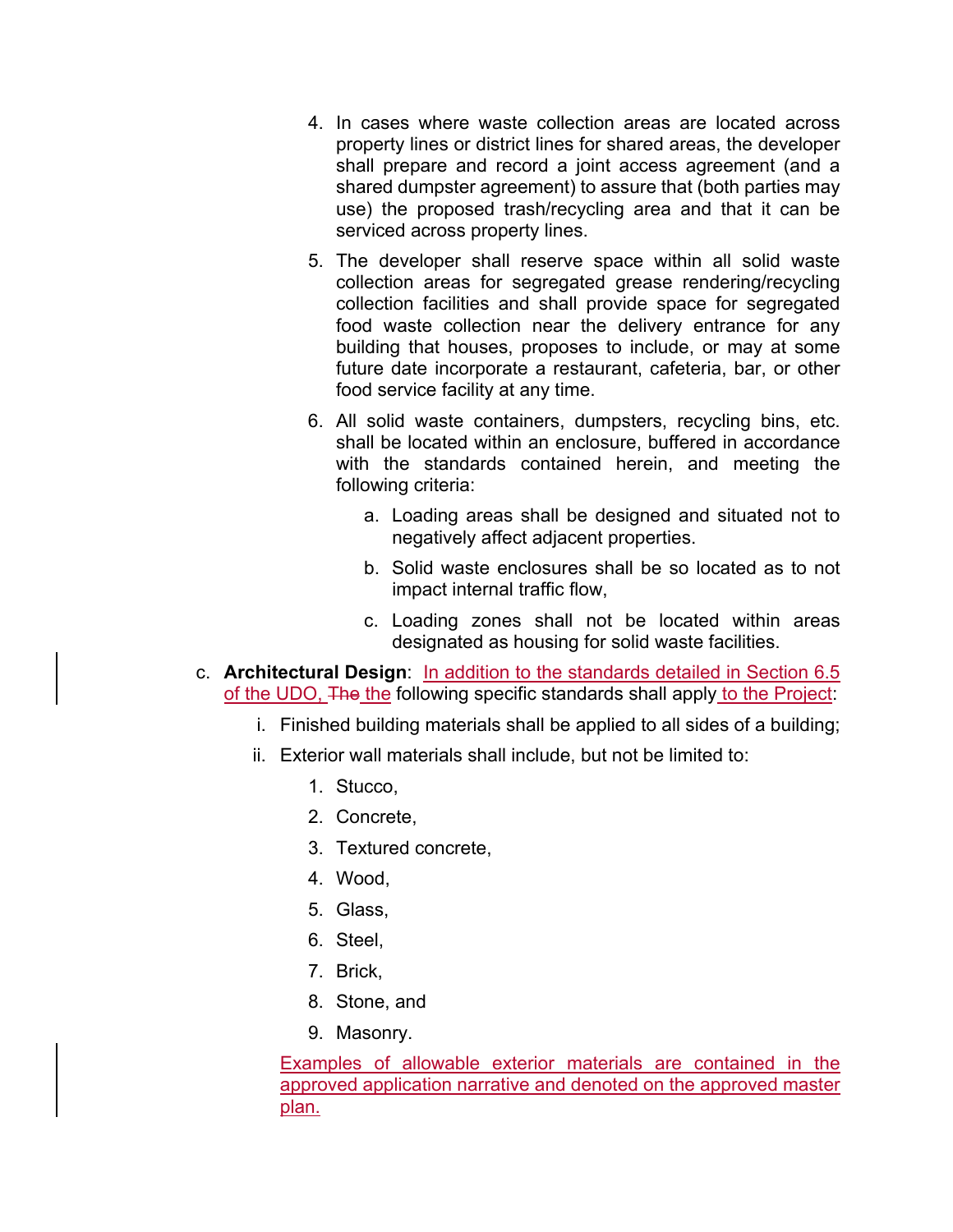- 4. In cases where waste collection areas are located across property lines or district lines for shared areas, the developer shall prepare and record a joint access agreement (and a shared dumpster agreement) to assure that (both parties may use) the proposed trash/recycling area and that it can be serviced across property lines.
- 5. The developer shall reserve space within all solid waste collection areas for segregated grease rendering/recycling collection facilities and shall provide space for segregated food waste collection near the delivery entrance for any building that houses, proposes to include, or may at some future date incorporate a restaurant, cafeteria, bar, or other food service facility at any time.
- 6. All solid waste containers, dumpsters, recycling bins, etc. shall be located within an enclosure, buffered in accordance with the standards contained herein, and meeting the following criteria:
	- a. Loading areas shall be designed and situated not to negatively affect adjacent properties.
	- b. Solid waste enclosures shall be so located as to not impact internal traffic flow,
	- c. Loading zones shall not be located within areas designated as housing for solid waste facilities.
- c. **Architectural Design**: In addition to the standards detailed in Section 6.5 of the UDO, The the following specific standards shall apply to the Project:
	- i. Finished building materials shall be applied to all sides of a building;
	- ii. Exterior wall materials shall include, but not be limited to:
		- 1. Stucco,
		- 2. Concrete,
		- 3. Textured concrete,
		- 4. Wood,
		- 5. Glass,
		- 6. Steel,
		- 7. Brick,
		- 8. Stone, and
		- 9. Masonry.

Examples of allowable exterior materials are contained in the approved application narrative and denoted on the approved master plan.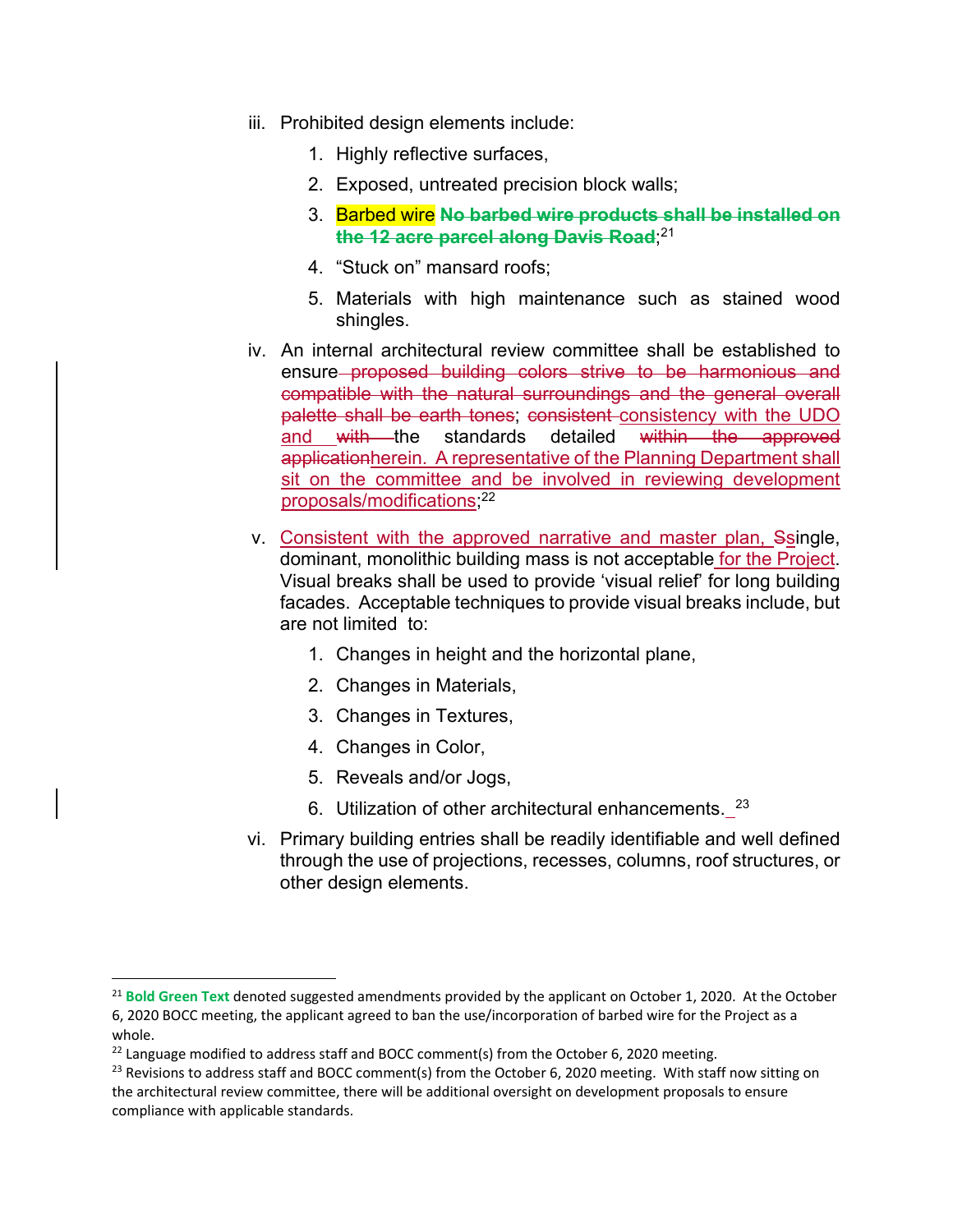- iii. Prohibited design elements include:
	- 1. Highly reflective surfaces,
	- 2. Exposed, untreated precision block walls;
	- 3. Barbed wire **No barbed wire products shall be installed on the 12 acre parcel along Davis Road**; 21
	- 4. "Stuck on" mansard roofs;
	- 5. Materials with high maintenance such as stained wood shingles.
- iv. An internal architectural review committee shall be established to ensure proposed building colors strive to be harmonious and compatible with the natural surroundings and the general overall palette shall be earth tones; consistent consistency with the UDO and with the standards detailed within the approved applicationherein. A representative of the Planning Department shall sit on the committee and be involved in reviewing development proposals/modifications; 22
- v. Consistent with the approved narrative and master plan, Ssingle, dominant, monolithic building mass is not acceptable for the Project. Visual breaks shall be used to provide 'visual relief' for long building facades. Acceptable techniques to provide visual breaks include, but are not limited to:
	- 1. Changes in height and the horizontal plane,
	- 2. Changes in Materials,
	- 3. Changes in Textures,
	- 4. Changes in Color,
	- 5. Reveals and/or Jogs,
	- 6. Utilization of other architectural enhancements. 23
- vi. Primary building entries shall be readily identifiable and well defined through the use of projections, recesses, columns, roof structures, or other design elements.

<sup>21</sup> **Bold Green Text** denoted suggested amendments provided by the applicant on October 1, 2020. At the October 6, 2020 BOCC meeting, the applicant agreed to ban the use/incorporation of barbed wire for the Project as a whole.

 $22$  Language modified to address staff and BOCC comment(s) from the October 6, 2020 meeting.

 $^{23}$  Revisions to address staff and BOCC comment(s) from the October 6, 2020 meeting. With staff now sitting on the architectural review committee, there will be additional oversight on development proposals to ensure compliance with applicable standards.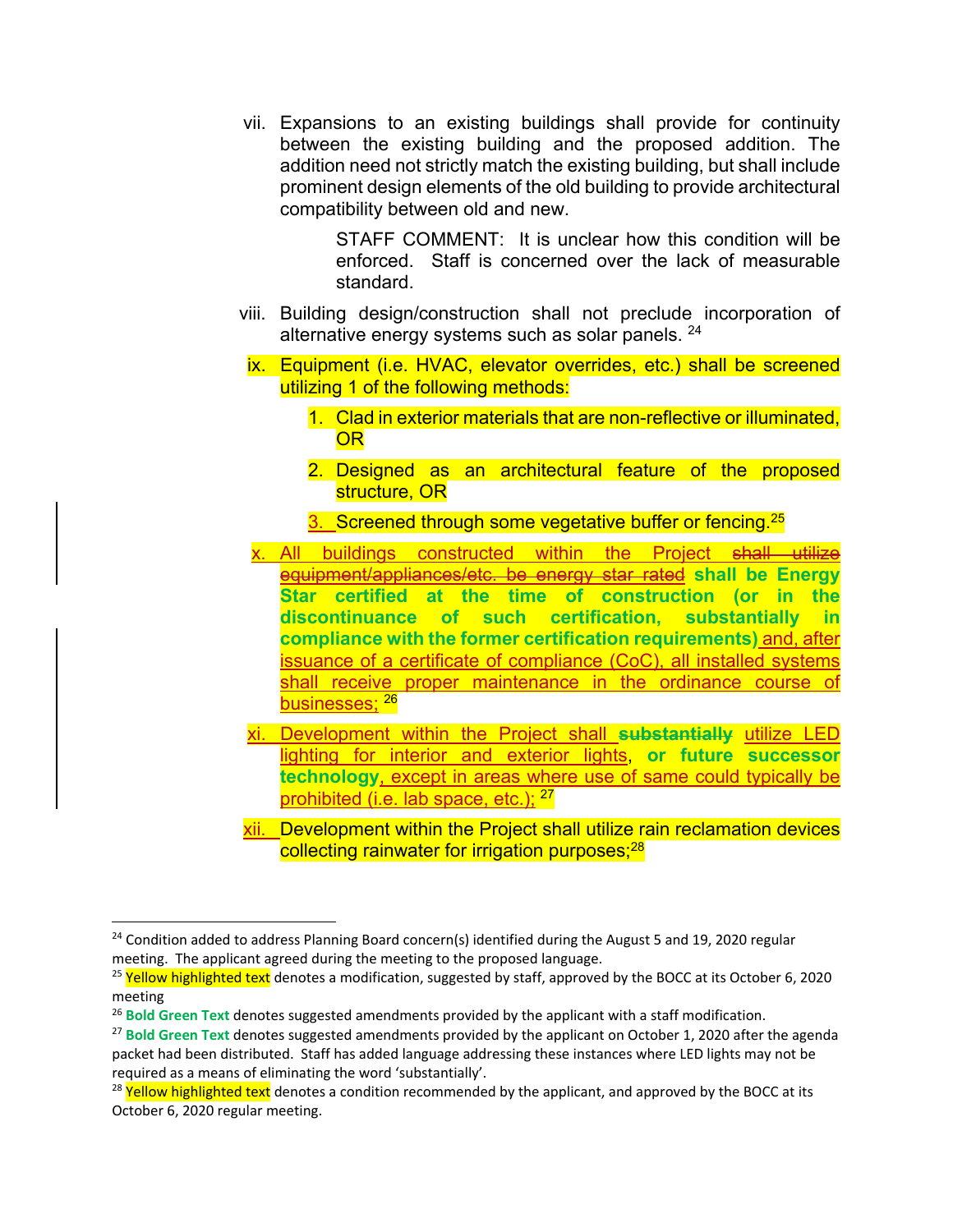vii. Expansions to an existing buildings shall provide for continuity between the existing building and the proposed addition. The addition need not strictly match the existing building, but shall include prominent design elements of the old building to provide architectural compatibility between old and new.

> STAFF COMMENT: It is unclear how this condition will be enforced. Staff is concerned over the lack of measurable standard.

- viii. Building design/construction shall not preclude incorporation of alternative energy systems such as solar panels. <sup>24</sup>
- ix. Equipment (i.e. HVAC, elevator overrides, etc.) shall be screened utilizing 1 of the following methods:
	- 1. Clad in exterior materials that are non-reflective or illuminated, **OR**
	- 2. Designed as an architectural feature of the proposed structure, OR
	- 3. Screened through some vegetative buffer or fencing.<sup>25</sup>
- x. All buildings constructed within the Project shall utilize equipment/appliances/etc. be energy star rated **shall be Energy Star certified at the time of construction (or in the discontinuance of such certification, substantially in compliance with the former certification requirements)** and, after issuance of a certificate of compliance (CoC), all installed systems shall receive proper maintenance in the ordinance course of businesses: 26
- xi. Development within the Project shall **substantially** utilize LED lighting for interior and exterior lights, **or future successor technology**, except in areas where use of same could typically be prohibited (i.e. lab space, etc.);  $27$
- xii. Development within the Project shall utilize rain reclamation devices collecting rainwater for irrigation purposes;<sup>28</sup>

 $24$  Condition added to address Planning Board concern(s) identified during the August 5 and 19, 2020 regular meeting. The applicant agreed during the meeting to the proposed language.

<sup>&</sup>lt;sup>25</sup> Yellow highlighted text denotes a modification, suggested by staff, approved by the BOCC at its October 6, 2020 meeting

<sup>26</sup> **Bold Green Text** denotes suggested amendments provided by the applicant with a staff modification.

<sup>&</sup>lt;sup>27</sup> Bold Green Text denotes suggested amendments provided by the applicant on October 1, 2020 after the agenda packet had been distributed. Staff has added language addressing these instances where LED lights may not be required as a means of eliminating the word 'substantially'.

<sup>&</sup>lt;sup>28</sup> Yellow highlighted text denotes a condition recommended by the applicant, and approved by the BOCC at its October 6, 2020 regular meeting.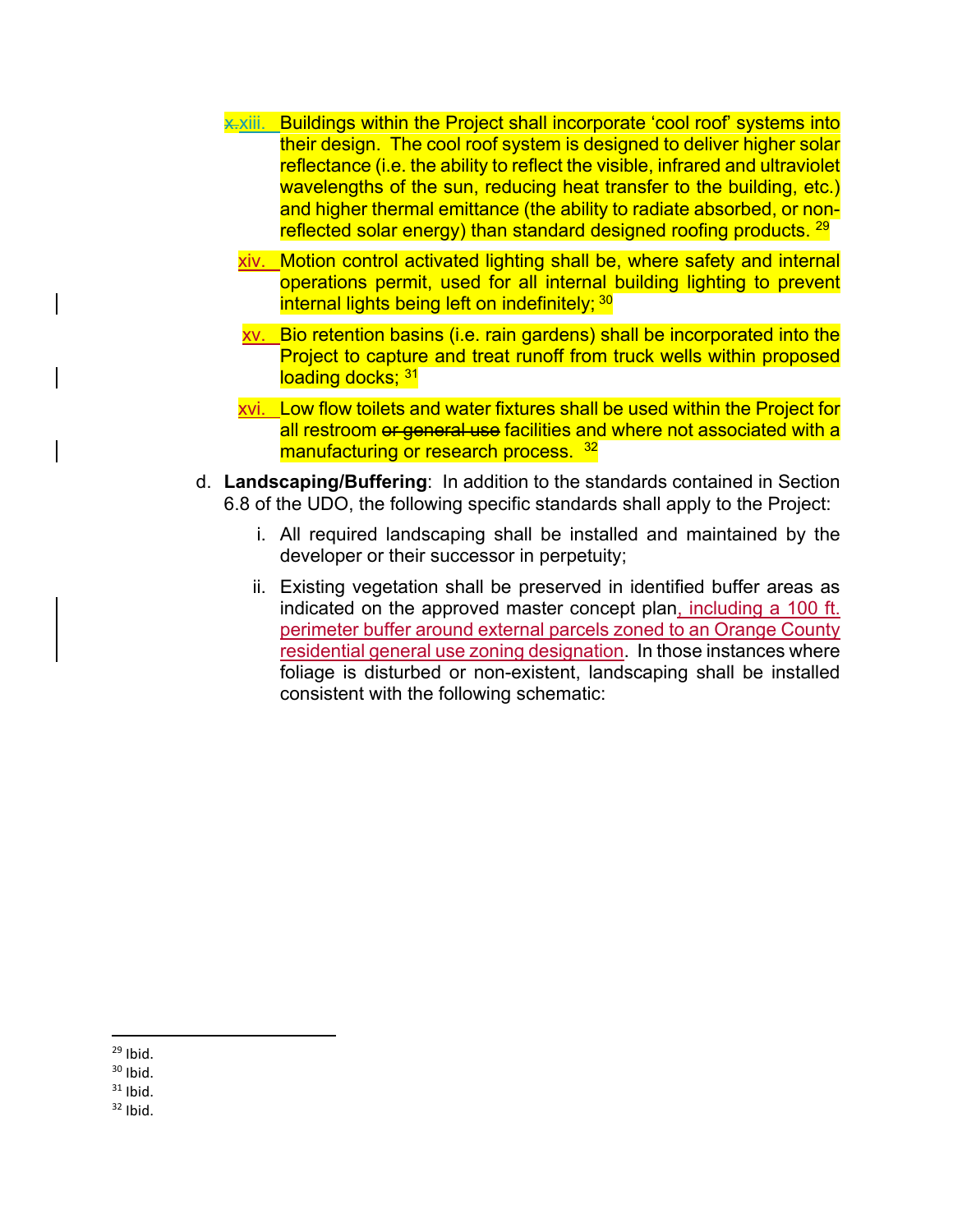- **x**.xiii. Buildings within the Project shall incorporate 'cool roof' systems into their design. The cool roof system is designed to deliver higher solar reflectance (i.e. the ability to reflect the visible, infrared and ultraviolet wavelengths of the sun, reducing heat transfer to the building, etc.) and higher thermal emittance (the ability to radiate absorbed, or nonreflected solar energy) than standard designed roofing products. <sup>29</sup>
	- xiv. Motion control activated lighting shall be, where safety and internal operations permit, used for all internal building lighting to prevent internal lights being left on indefinitely; 30
	- xv. Bio retention basins (i.e. rain gardens) shall be incorporated into the Project to capture and treat runoff from truck wells within proposed loading docks; 31
	- xvi. Low flow toilets and water fixtures shall be used within the Project for all restroom or general use facilities and where not associated with a manufacturing or research process. 32
- d. **Landscaping/Buffering**: In addition to the standards contained in Section 6.8 of the UDO, the following specific standards shall apply to the Project:
	- i. All required landscaping shall be installed and maintained by the developer or their successor in perpetuity;
	- ii. Existing vegetation shall be preserved in identified buffer areas as indicated on the approved master concept plan, including a 100 ft. perimeter buffer around external parcels zoned to an Orange County residential general use zoning designation. In those instances where foliage is disturbed or non-existent, landscaping shall be installed consistent with the following schematic:

  $29$  Ibid.

 $30$  Ibid.

 $31$  Ibid.

 $32$  Ibid.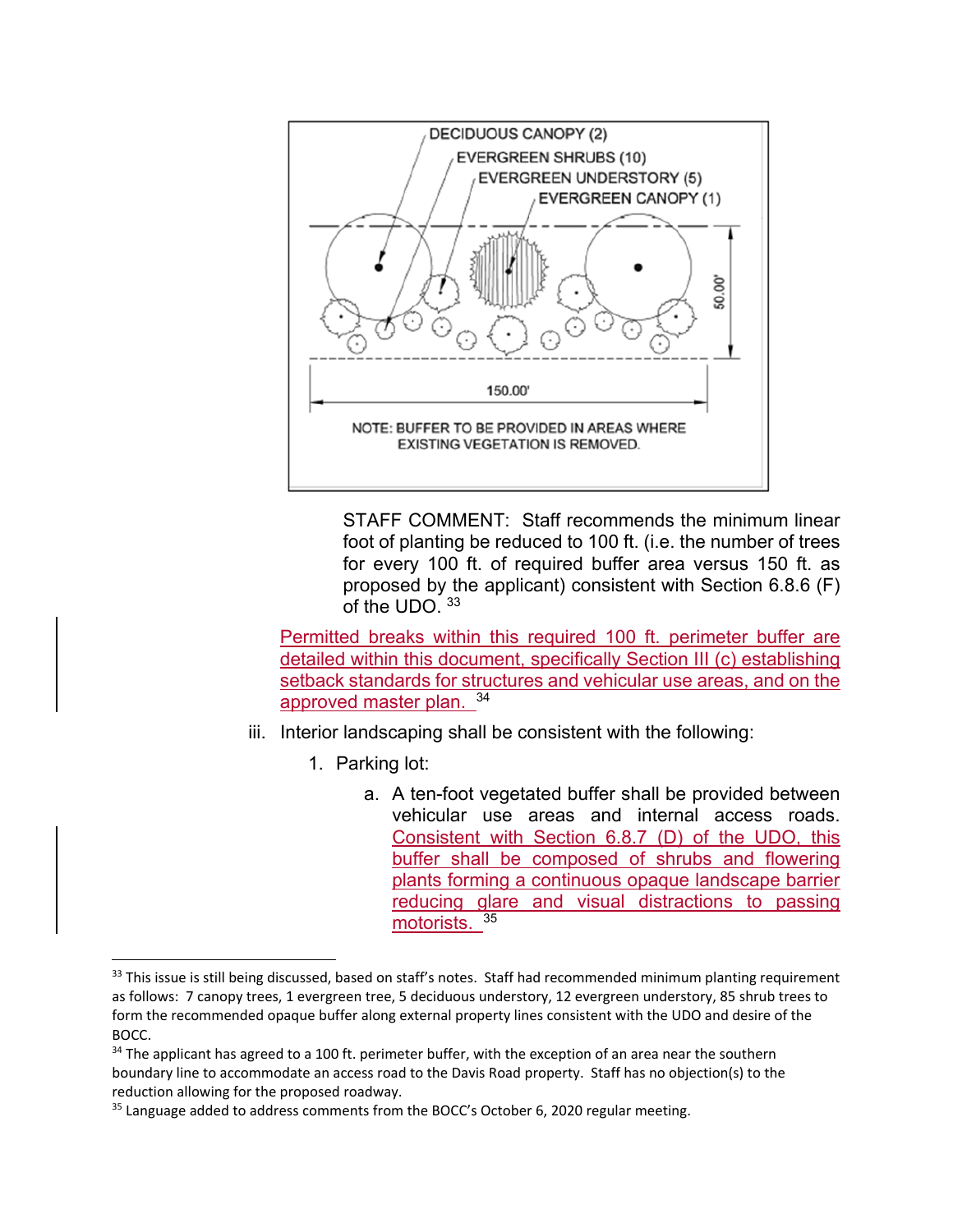

 STAFF COMMENT: Staff recommends the minimum linear foot of planting be reduced to 100 ft. (i.e. the number of trees for every 100 ft. of required buffer area versus 150 ft. as proposed by the applicant) consistent with Section 6.8.6 (F) of the UDO. 33

Permitted breaks within this required 100 ft. perimeter buffer are detailed within this document, specifically Section III (c) establishing setback standards for structures and vehicular use areas, and on the approved master plan. 34

- iii. Interior landscaping shall be consistent with the following:
	- 1. Parking lot:

a. A ten-foot vegetated buffer shall be provided between vehicular use areas and internal access roads. Consistent with Section 6.8.7 (D) of the UDO, this buffer shall be composed of shrubs and flowering plants forming a continuous opaque landscape barrier reducing glare and visual distractions to passing motorists. 35

 $33$  This issue is still being discussed, based on staff's notes. Staff had recommended minimum planting requirement as follows: 7 canopy trees, 1 evergreen tree, 5 deciduous understory, 12 evergreen understory, 85 shrub trees to form the recommended opaque buffer along external property lines consistent with the UDO and desire of the BOCC.

<sup>&</sup>lt;sup>34</sup> The applicant has agreed to a 100 ft. perimeter buffer, with the exception of an area near the southern boundary line to accommodate an access road to the Davis Road property. Staff has no objection(s) to the reduction allowing for the proposed roadway.

<sup>&</sup>lt;sup>35</sup> Language added to address comments from the BOCC's October 6, 2020 regular meeting.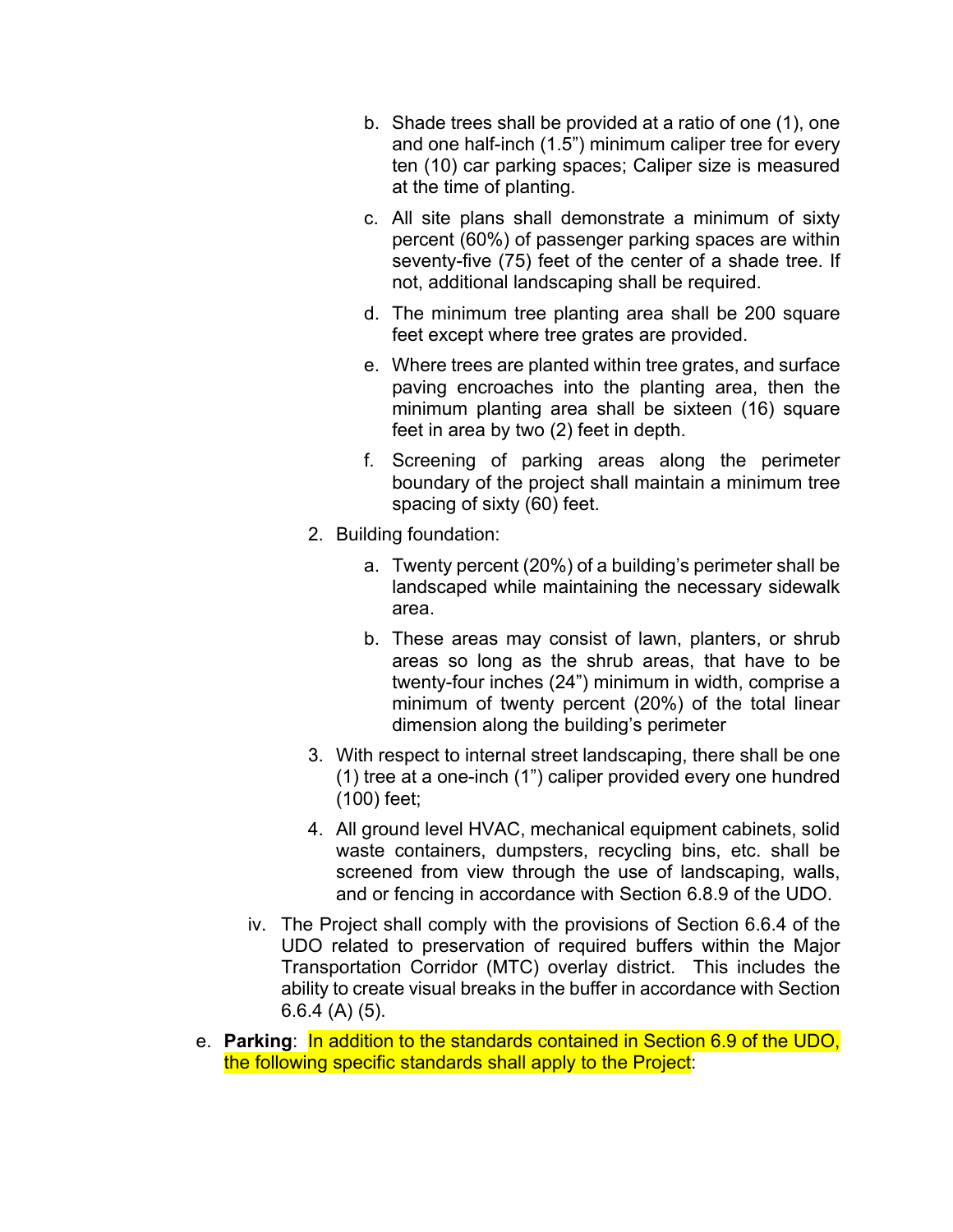- b. Shade trees shall be provided at a ratio of one (1), one and one half-inch (1.5") minimum caliper tree for every ten (10) car parking spaces; Caliper size is measured at the time of planting.
- c. All site plans shall demonstrate a minimum of sixty percent (60%) of passenger parking spaces are within seventy-five (75) feet of the center of a shade tree. If not, additional landscaping shall be required.
- d. The minimum tree planting area shall be 200 square feet except where tree grates are provided.
- e. Where trees are planted within tree grates, and surface paving encroaches into the planting area, then the minimum planting area shall be sixteen (16) square feet in area by two (2) feet in depth.
- f. Screening of parking areas along the perimeter boundary of the project shall maintain a minimum tree spacing of sixty (60) feet.
- 2. Building foundation:
	- a. Twenty percent (20%) of a building's perimeter shall be landscaped while maintaining the necessary sidewalk area.
	- b. These areas may consist of lawn, planters, or shrub areas so long as the shrub areas, that have to be twenty-four inches (24") minimum in width, comprise a minimum of twenty percent (20%) of the total linear dimension along the building's perimeter
- 3. With respect to internal street landscaping, there shall be one (1) tree at a one-inch (1") caliper provided every one hundred (100) feet;
- 4. All ground level HVAC, mechanical equipment cabinets, solid waste containers, dumpsters, recycling bins, etc. shall be screened from view through the use of landscaping, walls, and or fencing in accordance with Section 6.8.9 of the UDO.
- iv. The Project shall comply with the provisions of Section 6.6.4 of the UDO related to preservation of required buffers within the Major Transportation Corridor (MTC) overlay district. This includes the ability to create visual breaks in the buffer in accordance with Section 6.6.4 (A) (5).
- e. **Parking**: In addition to the standards contained in Section 6.9 of the UDO, the following specific standards shall apply to the Project: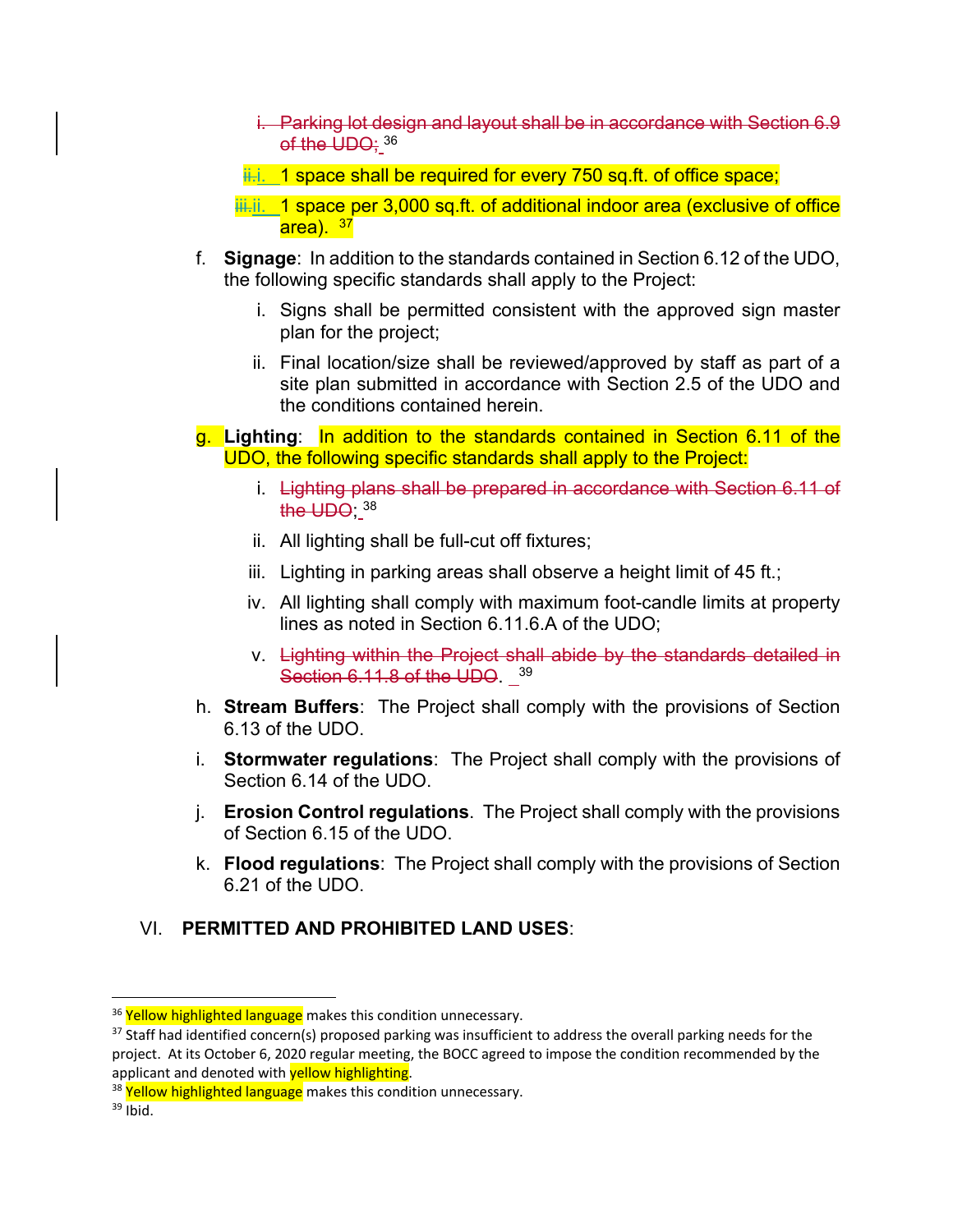- i. Parking lot design and layout shall be in accordance with Section 6.9 of the UDO; 36
- $i$ . 1 space shall be required for every 750 sq.ft. of office space;

 $\frac{1}{10}$ . 1 space per 3,000 sq.ft. of additional indoor area (exclusive of office area). <sup>37</sup>

- f. **Signage**: In addition to the standards contained in Section 6.12 of the UDO, the following specific standards shall apply to the Project:
	- i. Signs shall be permitted consistent with the approved sign master plan for the project;
	- ii. Final location/size shall be reviewed/approved by staff as part of a site plan submitted in accordance with Section 2.5 of the UDO and the conditions contained herein.
- g. **Lighting**: In addition to the standards contained in Section 6.11 of the UDO, the following specific standards shall apply to the Project:
	- i. Lighting plans shall be prepared in accordance with Section 6.11 of the UDO: 38
	- ii. All lighting shall be full-cut off fixtures;
	- iii. Lighting in parking areas shall observe a height limit of 45 ft.;
	- iv. All lighting shall comply with maximum foot-candle limits at property lines as noted in Section 6.11.6.A of the UDO;
	- v. Lighting within the Project shall abide by the standards detailed in Section 6.11.8 of the UDO. 39
- h. **Stream Buffers**: The Project shall comply with the provisions of Section 6.13 of the UDO.
- i. **Stormwater regulations**: The Project shall comply with the provisions of Section 6.14 of the UDO.
- j. **Erosion Control regulations**. The Project shall comply with the provisions of Section 6.15 of the UDO.
- k. **Flood regulations**: The Project shall comply with the provisions of Section 6.21 of the UDO.

# VI. **PERMITTED AND PROHIBITED LAND USES**:

<sup>&</sup>lt;sup>36</sup> Yellow highlighted language makes this condition unnecessary.

 $37$  Staff had identified concern(s) proposed parking was insufficient to address the overall parking needs for the project. At its October 6, 2020 regular meeting, the BOCC agreed to impose the condition recommended by the applicant and denoted with yellow highlighting.

<sup>&</sup>lt;sup>38</sup> Yellow highlighted language makes this condition unnecessary.

 $39$  Ibid.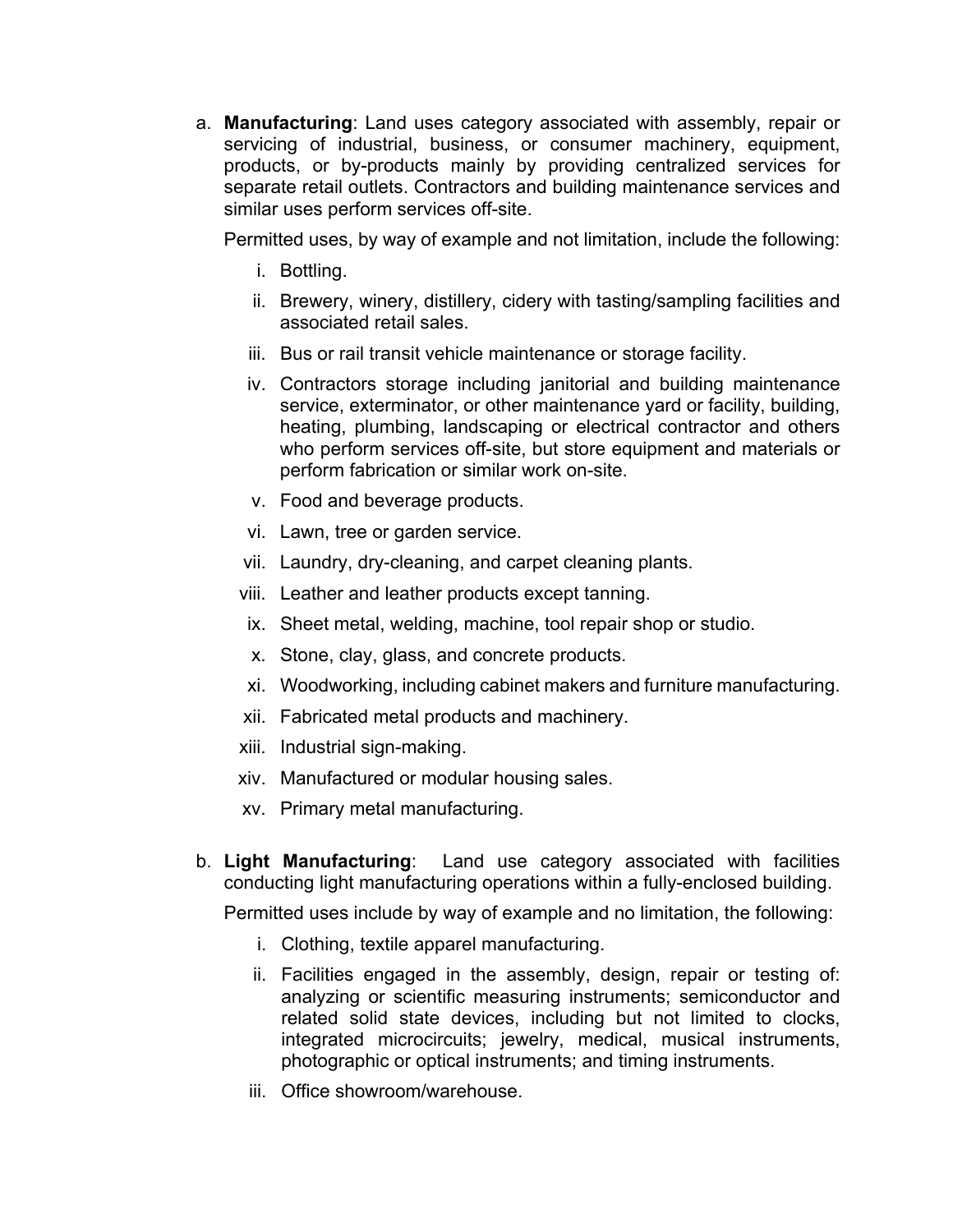a. **Manufacturing**: Land uses category associated with assembly, repair or servicing of industrial, business, or consumer machinery, equipment, products, or by-products mainly by providing centralized services for separate retail outlets. Contractors and building maintenance services and similar uses perform services off-site.

Permitted uses, by way of example and not limitation, include the following:

- i. Bottling.
- ii. Brewery, winery, distillery, cidery with tasting/sampling facilities and associated retail sales.
- iii. Bus or rail transit vehicle maintenance or storage facility.
- iv. Contractors storage including janitorial and building maintenance service, exterminator, or other maintenance yard or facility, building, heating, plumbing, landscaping or electrical contractor and others who perform services off-site, but store equipment and materials or perform fabrication or similar work on-site.
- v. Food and beverage products.
- vi. Lawn, tree or garden service.
- vii. Laundry, dry-cleaning, and carpet cleaning plants.
- viii. Leather and leather products except tanning.
- ix. Sheet metal, welding, machine, tool repair shop or studio.
- x. Stone, clay, glass, and concrete products.
- xi. Woodworking, including cabinet makers and furniture manufacturing.
- xii. Fabricated metal products and machinery.
- xiii. Industrial sign-making.
- xiv. Manufactured or modular housing sales.
- xv. Primary metal manufacturing.
- b. **Light Manufacturing**: Land use category associated with facilities conducting light manufacturing operations within a fully-enclosed building.

Permitted uses include by way of example and no limitation, the following:

- i. Clothing, textile apparel manufacturing.
- ii. Facilities engaged in the assembly, design, repair or testing of: analyzing or scientific measuring instruments; semiconductor and related solid state devices, including but not limited to clocks, integrated microcircuits; jewelry, medical, musical instruments, photographic or optical instruments; and timing instruments.
- iii. Office showroom/warehouse.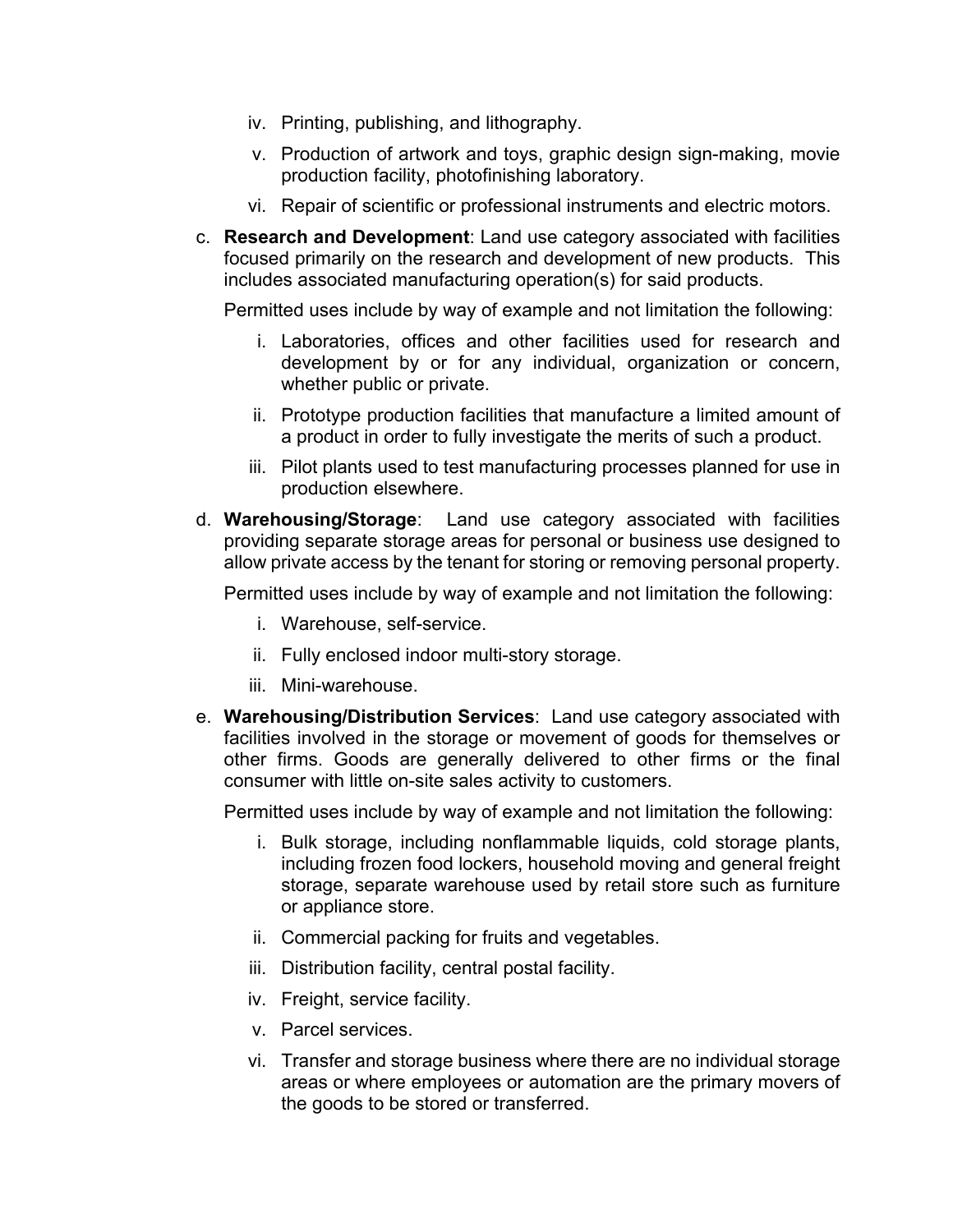- iv. Printing, publishing, and lithography.
- v. Production of artwork and toys, graphic design sign-making, movie production facility, photofinishing laboratory.
- vi. Repair of scientific or professional instruments and electric motors.
- c. **Research and Development**: Land use category associated with facilities focused primarily on the research and development of new products. This includes associated manufacturing operation(s) for said products.

Permitted uses include by way of example and not limitation the following:

- i. Laboratories, offices and other facilities used for research and development by or for any individual, organization or concern, whether public or private.
- ii. Prototype production facilities that manufacture a limited amount of a product in order to fully investigate the merits of such a product.
- iii. Pilot plants used to test manufacturing processes planned for use in production elsewhere.
- d. **Warehousing/Storage**: Land use category associated with facilities providing separate storage areas for personal or business use designed to allow private access by the tenant for storing or removing personal property.

Permitted uses include by way of example and not limitation the following:

- i. Warehouse, self-service.
- ii. Fully enclosed indoor multi-story storage.
- iii. Mini-warehouse.
- e. **Warehousing/Distribution Services**: Land use category associated with facilities involved in the storage or movement of goods for themselves or other firms. Goods are generally delivered to other firms or the final consumer with little on-site sales activity to customers.

Permitted uses include by way of example and not limitation the following:

- i. Bulk storage, including nonflammable liquids, cold storage plants, including frozen food lockers, household moving and general freight storage, separate warehouse used by retail store such as furniture or appliance store.
- ii. Commercial packing for fruits and vegetables.
- iii. Distribution facility, central postal facility.
- iv. Freight, service facility.
- v. Parcel services.
- vi. Transfer and storage business where there are no individual storage areas or where employees or automation are the primary movers of the goods to be stored or transferred.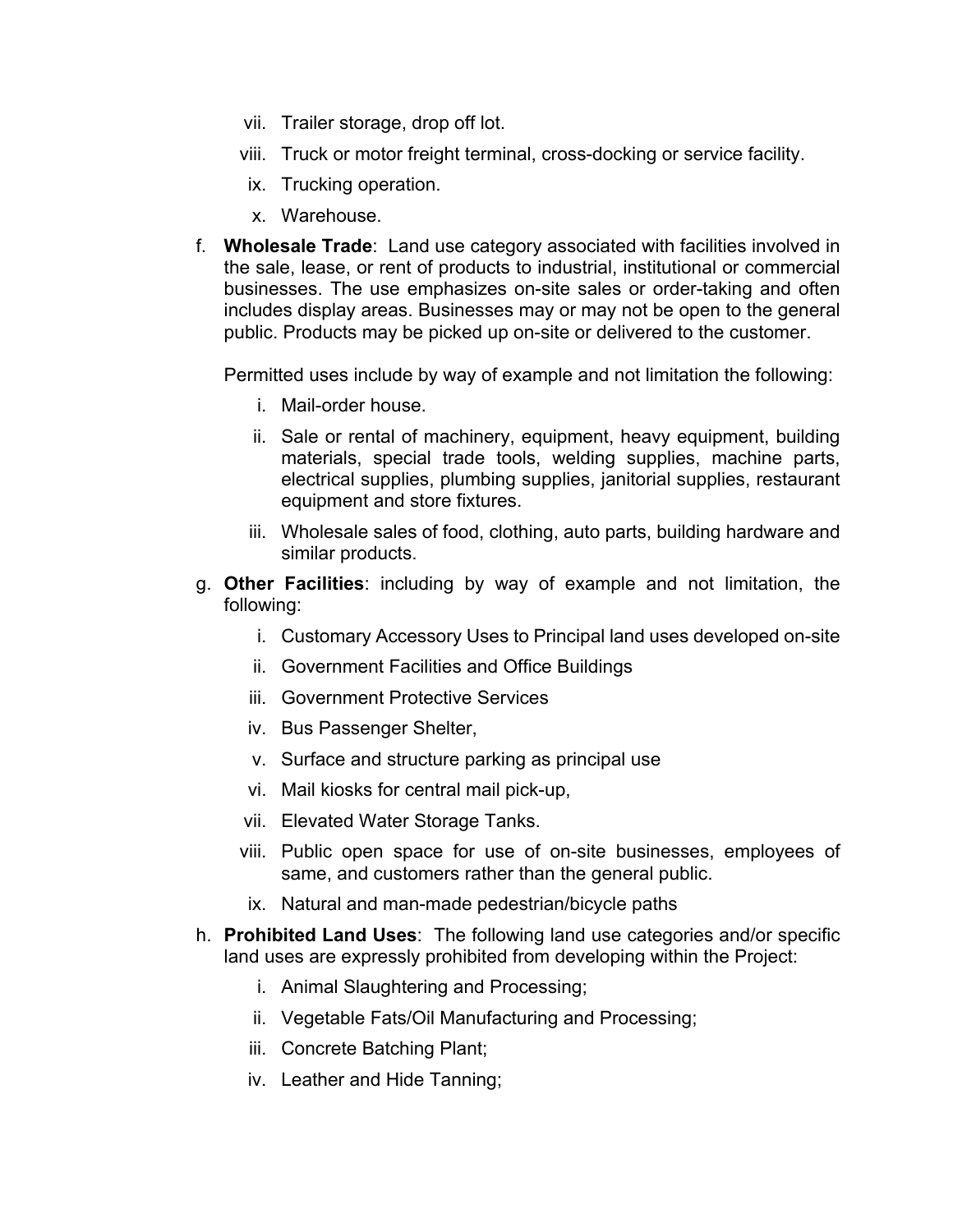- vii. Trailer storage, drop off lot.
- viii. Truck or motor freight terminal, cross-docking or service facility.
- ix. Trucking operation.
- x. Warehouse.
- f. **Wholesale Trade**: Land use category associated with facilities involved in the sale, lease, or rent of products to industrial, institutional or commercial businesses. The use emphasizes on-site sales or order-taking and often includes display areas. Businesses may or may not be open to the general public. Products may be picked up on-site or delivered to the customer.

Permitted uses include by way of example and not limitation the following:

- i. Mail-order house.
- ii. Sale or rental of machinery, equipment, heavy equipment, building materials, special trade tools, welding supplies, machine parts, electrical supplies, plumbing supplies, janitorial supplies, restaurant equipment and store fixtures.
- iii. Wholesale sales of food, clothing, auto parts, building hardware and similar products.
- g. **Other Facilities**: including by way of example and not limitation, the following:
	- i. Customary Accessory Uses to Principal land uses developed on-site
	- ii. Government Facilities and Office Buildings
	- iii. Government Protective Services
	- iv. Bus Passenger Shelter,
	- v. Surface and structure parking as principal use
	- vi. Mail kiosks for central mail pick-up,
	- vii. Elevated Water Storage Tanks.
	- viii. Public open space for use of on-site businesses, employees of same, and customers rather than the general public.
	- ix. Natural and man-made pedestrian/bicycle paths
- h. **Prohibited Land Uses**: The following land use categories and/or specific land uses are expressly prohibited from developing within the Project:
	- i. Animal Slaughtering and Processing;
	- ii. Vegetable Fats/Oil Manufacturing and Processing;
	- iii. Concrete Batching Plant;
	- iv. Leather and Hide Tanning;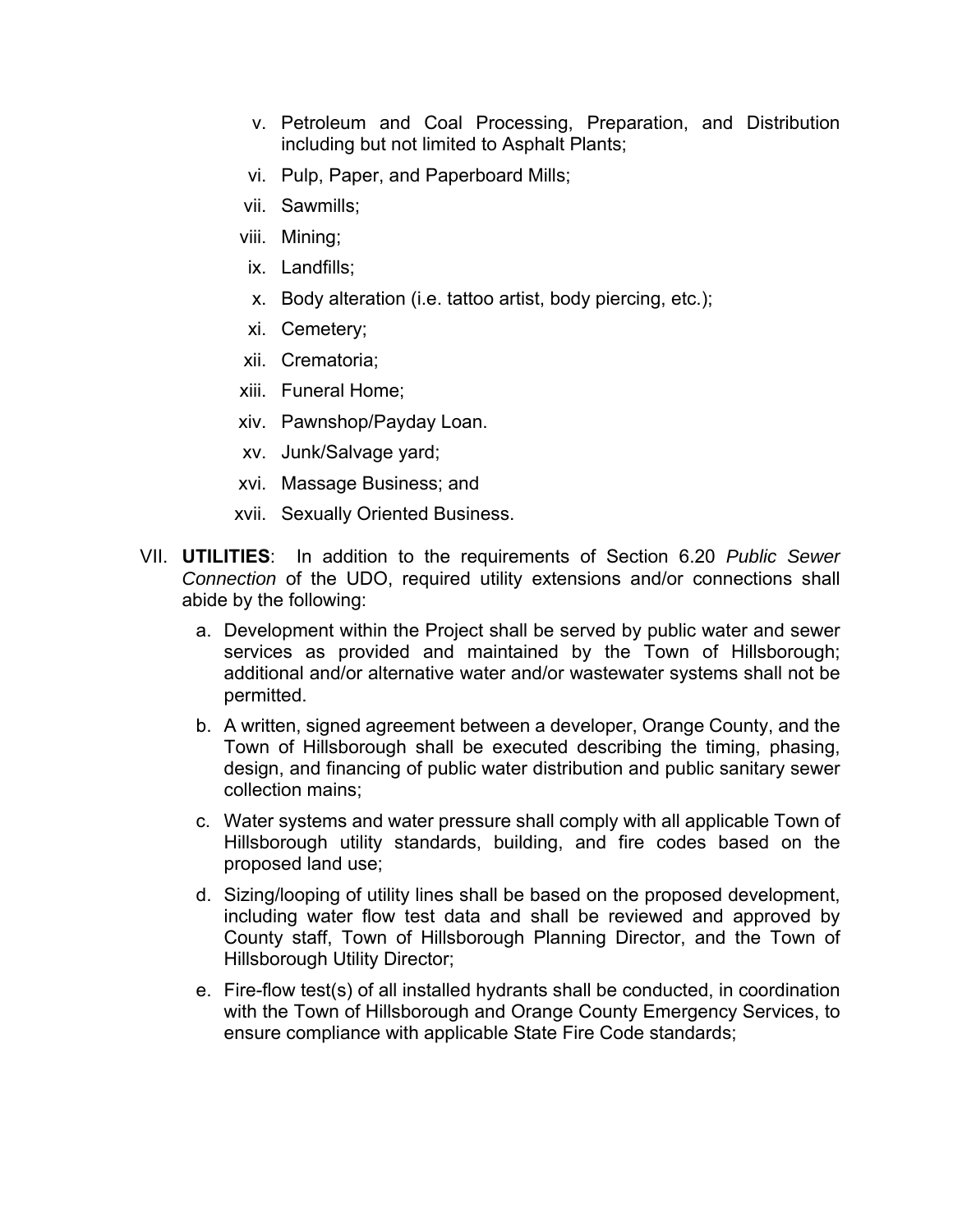- v. Petroleum and Coal Processing, Preparation, and Distribution including but not limited to Asphalt Plants;
- vi. Pulp, Paper, and Paperboard Mills;
- vii. Sawmills;
- viii. Mining;
- ix. Landfills;
- x. Body alteration (i.e. tattoo artist, body piercing, etc.);
- xi. Cemetery;
- xii. Crematoria;
- xiii. Funeral Home;
- xiv. Pawnshop/Payday Loan.
- xv. Junk/Salvage yard;
- xvi. Massage Business; and
- xvii. Sexually Oriented Business.
- VII. **UTILITIES**: In addition to the requirements of Section 6.20 *Public Sewer Connection* of the UDO, required utility extensions and/or connections shall abide by the following:
	- a. Development within the Project shall be served by public water and sewer services as provided and maintained by the Town of Hillsborough; additional and/or alternative water and/or wastewater systems shall not be permitted.
	- b. A written, signed agreement between a developer, Orange County, and the Town of Hillsborough shall be executed describing the timing, phasing, design, and financing of public water distribution and public sanitary sewer collection mains;
	- c. Water systems and water pressure shall comply with all applicable Town of Hillsborough utility standards, building, and fire codes based on the proposed land use;
	- d. Sizing/looping of utility lines shall be based on the proposed development, including water flow test data and shall be reviewed and approved by County staff, Town of Hillsborough Planning Director, and the Town of Hillsborough Utility Director;
	- e. Fire-flow test(s) of all installed hydrants shall be conducted, in coordination with the Town of Hillsborough and Orange County Emergency Services, to ensure compliance with applicable State Fire Code standards;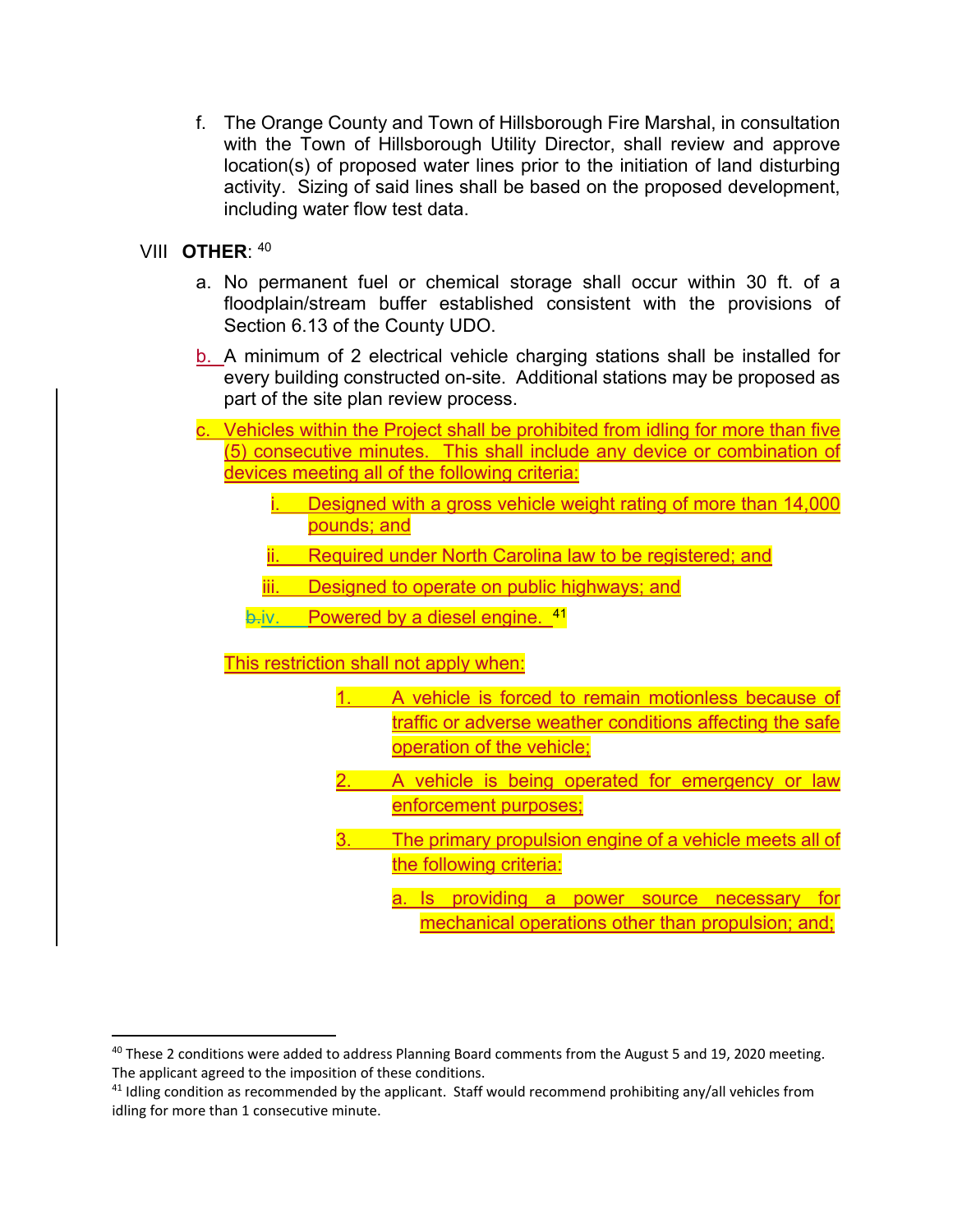f. The Orange County and Town of Hillsborough Fire Marshal, in consultation with the Town of Hillsborough Utility Director, shall review and approve location(s) of proposed water lines prior to the initiation of land disturbing activity. Sizing of said lines shall be based on the proposed development, including water flow test data.

### VIII **OTHER**: 40

- a. No permanent fuel or chemical storage shall occur within 30 ft. of a floodplain/stream buffer established consistent with the provisions of Section 6.13 of the County UDO.
- b. A minimum of 2 electrical vehicle charging stations shall be installed for every building constructed on-site. Additional stations may be proposed as part of the site plan review process.
- c. Vehicles within the Project shall be prohibited from idling for more than five (5) consecutive minutes. This shall include any device or combination of devices meeting all of the following criteria:
	- Designed with a gross vehicle weight rating of more than 14,000 pounds; and
	- ii. Required under North Carolina law to be registered; and
	- iii. Designed to operate on public highways; and
	- $b$ -iv. Powered by a diesel engine.  $41$

# This restriction shall not apply when:

- A vehicle is forced to remain motionless because of traffic or adverse weather conditions affecting the safe operation of the vehicle;
- A vehicle is being operated for emergency or law enforcement purposes;
- 3. The primary propulsion engine of a vehicle meets all of the following criteria:
	- a. Is providing a power source necessary for mechanical operations other than propulsion; and;

<sup>&</sup>lt;sup>40</sup> These 2 conditions were added to address Planning Board comments from the August 5 and 19, 2020 meeting. The applicant agreed to the imposition of these conditions.

<sup>&</sup>lt;sup>41</sup> Idling condition as recommended by the applicant. Staff would recommend prohibiting any/all vehicles from idling for more than 1 consecutive minute.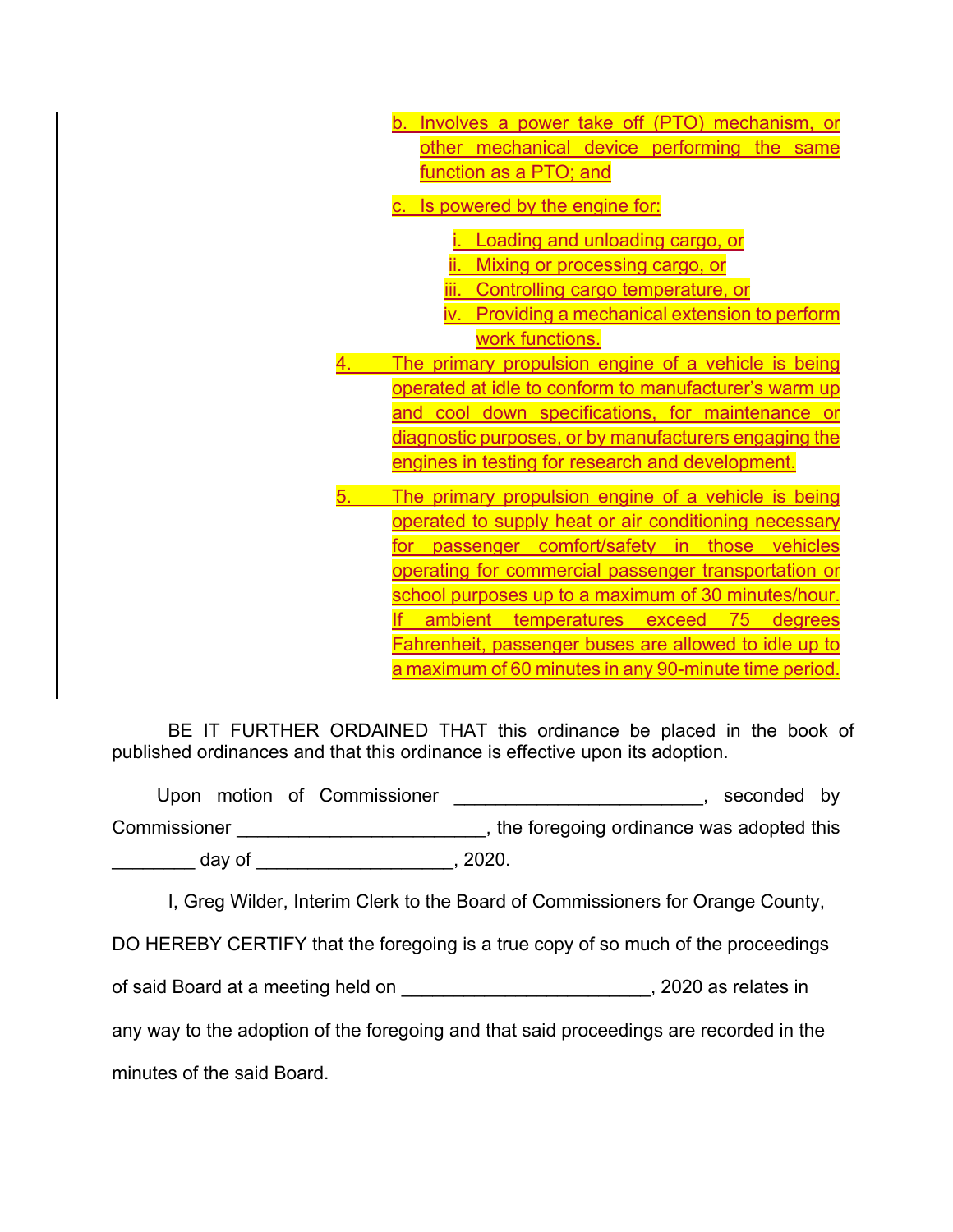|    | b. Involves a power take off (PTO) mechanism, or            |
|----|-------------------------------------------------------------|
|    | other mechanical device performing the same                 |
|    | function as a PTO; and                                      |
|    | c. Is powered by the engine for:                            |
|    |                                                             |
|    | Loading and unloading cargo, or                             |
|    | ii. Mixing or processing cargo, or                          |
|    | iii. Controlling cargo temperature, or                      |
|    | iv. Providing a mechanical extension to perform             |
|    | work functions.                                             |
|    | The primary propulsion engine of a vehicle is being         |
|    | operated at idle to conform to manufacturer's warm up       |
|    | and cool down specifications, for maintenance or            |
|    | diagnostic purposes, or by manufacturers engaging the       |
|    | engines in testing for research and development.            |
|    |                                                             |
| 5. | The primary propulsion engine of a vehicle is being         |
|    | operated to supply heat or air conditioning necessary       |
|    | for passenger comfort/safety in those vehicles              |
|    | <u>operating for commercial passenger transportation or</u> |
|    | school purposes up to a maximum of 30 minutes/hour.         |
|    | ambient<br>temperatures exceed<br>75 degrees                |
|    | Fahrenheit, passenger buses are allowed to idle up to       |
|    | a maximum of 60 minutes in any 90-minute time period.       |

BE IT FURTHER ORDAINED THAT this ordinance be placed in the book of published ordinances and that this ordinance is effective upon its adoption.

Upon motion of Commissioner \_\_\_\_\_\_\_\_\_\_\_\_\_\_\_\_\_\_\_\_\_\_\_\_, seconded by Commissioner **Commissioner Commissioner EXEC**  $day of$ 

I, Greg Wilder, Interim Clerk to the Board of Commissioners for Orange County,

DO HEREBY CERTIFY that the foregoing is a true copy of so much of the proceedings

of said Board at a meeting held on \_\_\_\_\_\_\_\_\_\_\_\_\_\_\_\_\_\_\_\_\_\_\_\_, 2020 as relates in

any way to the adoption of the foregoing and that said proceedings are recorded in the

minutes of the said Board.